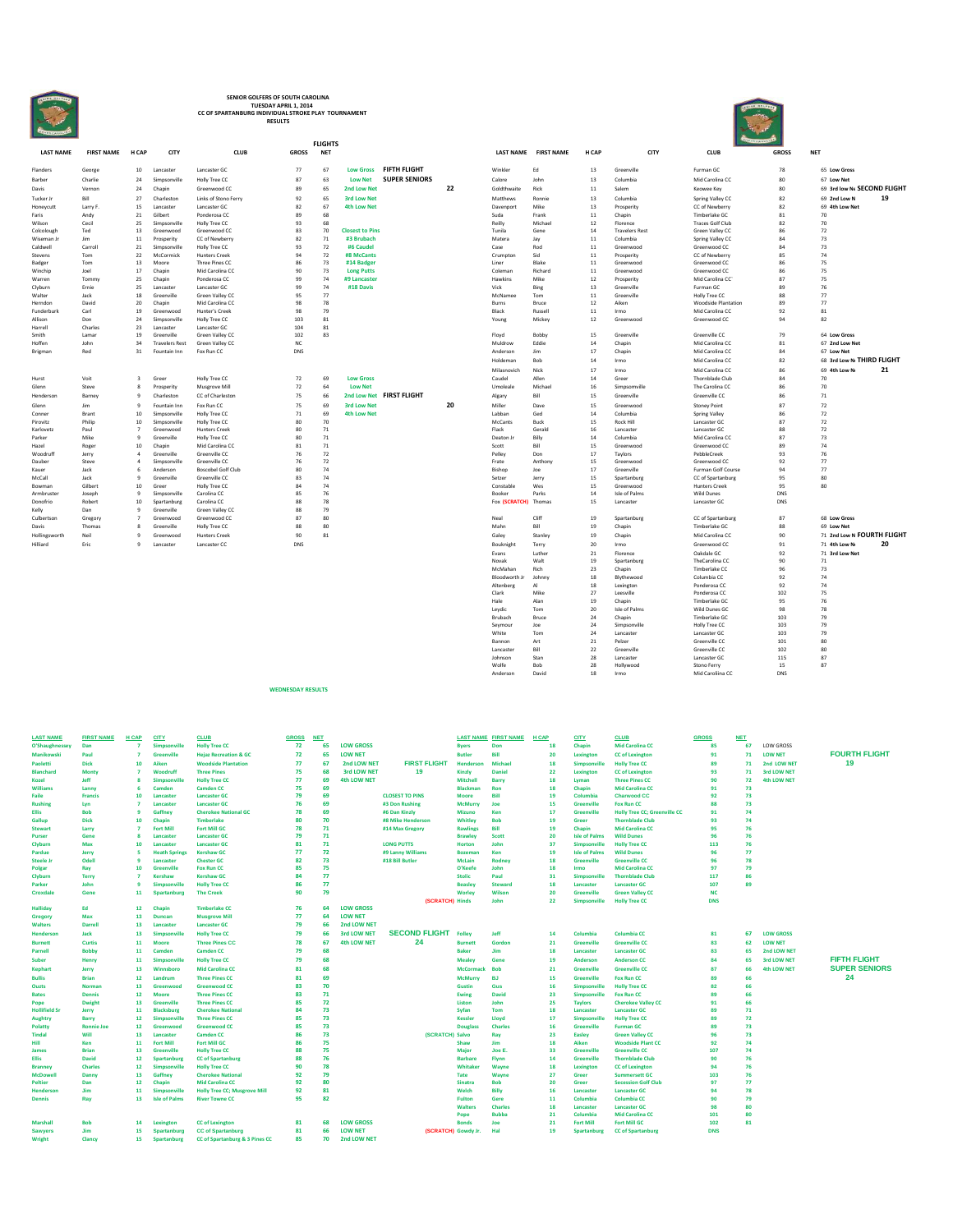

## **SENIOR GOLFERS OF SOUTH CAROLINA TUESDAY APRIL 1, 2014 CC OF SPARTANBURG INDIVIDUAL STROKE PLAY TOURNAMENT RESULTS**

|                    |                   |                      |                            |                                    |              | <b>FLIGHTS</b> |                        |                          |    |                  |                      |              |                       | <b>COUNTRACTOR</b>          |              |                             |    |
|--------------------|-------------------|----------------------|----------------------------|------------------------------------|--------------|----------------|------------------------|--------------------------|----|------------------|----------------------|--------------|-----------------------|-----------------------------|--------------|-----------------------------|----|
| <b>LAST NAME</b>   | <b>FIRST NAME</b> | H CAP                | CITY                       | <b>CLUB</b>                        | <b>GROSS</b> | <b>NET</b>     |                        |                          |    |                  | LAST NAME FIRST NAME | <b>H CAP</b> | CITY                  | <b>CLUB</b>                 | <b>GROSS</b> | <b>NET</b>                  |    |
| Flanders           | George            | 10                   | Lancaster                  | Lancaster GC                       | 77           | 67             | <b>Low Gross</b>       | FIFTH FLIGHT             |    | Winkler          | Ed                   | 13           | Greenville            | Furman GC                   | 78           | 65 Low Gross                |    |
| Barber             | Charlie           | 24                   | Simpsonville               | Holly Tree CC                      | 87           | 63             | <b>Low Net</b>         | <b>SUPER SENIORS</b>     |    | Calore           | John                 | 13           | Columbia              | Mid Carolina CC             | 80           | 67 Low Net                  |    |
| Davis              | Vernon            | 24                   | Chapin                     | Greenwood CC                       | 89           | 65             | 2nd Low Net            |                          | 22 | Goldthwaite      | Rick                 | 11           | Salem                 | Keowee Key                  | 80           | 69 3rd low Ne SECOND FLIGHT |    |
| Tucker Jr          | Bill              | 27                   | Charleston                 | Links of Stono Ferry               | 92           | 65             | <b>3rd Low Net</b>     |                          |    | Matthews         | Ronnie               | 13           | Columbia              | Spring Valley CC            | 82           | 69 2nd Low N                | 19 |
| Honevcutt          | Larry F.          | 15                   | Lancaster                  | Lancaster GC                       | 82           | 67             | <b>4th Low Net</b>     |                          |    | Davenport        | Mike                 | 13           | Prosperity            | CC of Newberry              | 82           | 69 4th Low Net              |    |
| Faris              | Andy              | 21                   | Gilbert                    | Ponderosa CC                       | 89           | 68             |                        |                          |    | Suda             | Frank                | 11           | Chapin                | Timberlake GC               | 81           | 70                          |    |
| Wilson             | Cecil             | 25                   | Simpsonville               | Holly Tree CC                      | 93           | 68             |                        |                          |    | Reilly           | Michael              | 12           | Florence              | <b>Traces Golf Club</b>     | 82           | 70                          |    |
| Colcolough         | Ted               | 13                   | Greenwood                  | Greenwood CC                       | 83           | 70             | <b>Closest to Pins</b> |                          |    | Tunila           | Gene                 | 14           | <b>Travelers Rest</b> | Green Valley CC             | 86           | 72                          |    |
| Wiseman Jr         | Jim               | 11                   | Prosperity                 | CC of Newberry                     | 82           | 71             | #3 Brubach             |                          |    | Matera           | Jay                  | 11           | Columbia              | Spring Valley CC            | 84           | 73                          |    |
| Caldwell           | Carroll           | 21                   | Simpsonville               | Holly Tree CC                      | 93           | 72             | #6 Caudel              |                          |    | Case             | Rod                  | 11           | Greenwood             | Greenwood CC                | 84           | 73                          |    |
| Stevens            | Tom               | 22                   | McCormick                  | <b>Hunters Creek</b>               | 94           | 72             | #8 McCants             |                          |    | Crumpton         | Sid                  | 11           | Prosperity            | CC of Newberry              | 85           | 74                          |    |
| Badger             | Tom               | 13                   | Moore                      | Three Pines CC                     | 86           | 73             | #14 Badger             |                          |    | Liner            | Blake                | 11           | Greenwood             | Greenwood CC                | 86           | 75                          |    |
| Winchip            | Joel              | 17                   | Chapin                     | Mid Carolina CC                    | 90           | 73             | <b>Long Putts</b>      |                          |    | Coleman          | Richard              | 11           | Greenwood             | Greenwood CC                | 86           | 75                          |    |
| Warren             | Tommy             | 25                   | Chapin                     | Ponderosa CC                       | 99           | 74             | #9 Lancaster           |                          |    | Hawkins          | Mike                 | 12           | Prosperity            | Mid Carolina CC             | 87           | 75                          |    |
| Clyburn            | Ernie             | 25                   | Lancaster                  | Lancaster GC                       | 99           | 74             | #18 Davis              |                          |    | Vick             | Bing                 | 13           | Greenville            | Furman GC                   | 89           | 76                          |    |
| Walter             | Jack              | 18                   | Greenville                 | Green Valley CC                    | 95           | 77             |                        |                          |    | McNamee          | Tom                  | 11           | Greenville            | Holly Tree CC               | 88           | 77                          |    |
| Herndon            | David             | 20                   | Chapin                     | Mid Carolina CC                    | 98           | 78             |                        |                          |    | Burns            | Bruce                | 12           | Aiken                 | <b>Woodside Plantation</b>  | 89           | 77                          |    |
| Funderburk         | Carl              | 19                   | Greenwood                  | <b>Hunter's Creek</b>              | 98           | 79<br>81       |                        |                          |    | Black            | Russell              | 11<br>12     | Irmo                  | Mid Carolina CC             | 92<br>94     | 81<br>82                    |    |
| Allison            | Don<br>Charles    | 24<br>23             | Simpsonville<br>Lancaster  | Holly Tree CC<br>Lancaster GC      | 103<br>104   | 81             |                        |                          |    | Young            | Mickey               |              | Greenwood             | Greenwood CC                |              |                             |    |
| Harrell<br>Smith   | Lamar             | 19                   | Greenville                 |                                    | 102          | 83             |                        |                          |    |                  | Bobby                | 15           | Greenville            | Greenville CC               | 79           | 64 Low Gross                |    |
| Hoffen             | John              | 34                   | <b>Travelers Rest</b>      | Green Valley CC<br>Green Valley CC | NC           |                |                        |                          |    | Floyd<br>Muldrow | Eddie                | 14           | Chapin                | Mid Carolina CC             | 81           | 67 2nd Low Net              |    |
| Brigman            | Red               | 31                   | Fountain Inn               | Fox Run CC                         | DNS          |                |                        |                          |    | Anderson         | Jim                  | 17           | Chapin                | Mid Carolina CC             | 84           | 67 Low Net                  |    |
|                    |                   |                      |                            |                                    |              |                |                        |                          |    | Holdeman         | Bob                  | 14           | Irmo                  | Mid Carolina CC             | 82           | 68 3rd Low Ni THIRD FLIGHT  |    |
|                    |                   |                      |                            |                                    |              |                |                        |                          |    |                  |                      |              |                       |                             |              |                             |    |
|                    |                   |                      |                            |                                    |              |                |                        |                          |    | Milasnovich      | Nick                 | 17           | Irmo                  | Mid Carolina CC             | 86           | 69 4th Low No               | 21 |
| Hurst              | Voit              | $\overline{3}$       | Green                      | Holly Tree CC                      | 72           | 69             | <b>Low Gross</b>       |                          |    | Caudel           | Allen                | 14           | Green                 | Thornblade Club             | 84           | 70                          |    |
| Glenn              | Steve             | $\mathbf{R}$         | Prosperity                 | Musgrove Mill                      | 72           | 64             | <b>Low Net</b>         |                          |    | Umoleale         | Michael              | 16           | Simpsomville          | The Carolina CC             | 86           | 70                          |    |
| Henderson          | Barney            | $\mathbf{Q}$         | Charleston                 | CC of Charleston                   | 75           | 66             |                        | 2nd Low Net FIRST FLIGHT |    | Algary           | Bill                 | 15           | Greenville            | Greenville CC               | 86           | 71                          |    |
| Glenn              | Jim               | $\mathbf{Q}$         | Fountain Inn               | Fox Run CC                         | 75           | 69             | <b>3rd Low Net</b>     |                          | 20 | Miller           | Dave                 | 15           | Greenwood             | <b>Stoney Point</b>         | 87           | 72                          |    |
| Conner             | Brant             | 10                   | Simpsonville               | Holly Tree CC                      | 71           | 69             | <b>4th Low Net</b>     |                          |    | Labban           | Ged                  | 14           | Columbia              | Spring Valley               | 86           | 72                          |    |
| Pirovitz           | Philip            | 10                   | Simpsonville               | Holly Tree CC                      | 80           | 70             |                        |                          |    | McCants          | Buck                 | 15           | Rock Hill             | Lancaster GC                | 87           | 72                          |    |
| Karlovetz          | Paul              | $\overline{7}$       | Greenwood                  | <b>Hunters Creek</b>               | 80           | 71             |                        |                          |    | Flack            | Gerald               | 16           | Lancaster             | Lancaster GC                | 88           | 72                          |    |
| Parker             | Mike              | $\mathbf{q}$         | Greenville                 | Holly Tree CC                      | 80           | 71             |                        |                          |    | Deaton J         | Billy                | 14           | Columbia              | Mid Carolina CC             | 87           | 73                          |    |
| Hazel              | Roger             | 10                   | Chapin                     | Mid Carolina CC                    | 81           | 71             |                        |                          |    | Scott            | Bill                 | 15           | Greenwood             | Greenwood CC                | 89           | 74                          |    |
| Woodruff<br>Dauber | Jerry<br>Steve    | $\Delta$<br>$\Delta$ | Greenville<br>Simpsonville | Greenville CC<br>Greenville CC     | 76<br>76     | 72<br>72       |                        |                          |    | Pelley<br>Frate  | Don<br>Anthony       | 17<br>15     | Taylors<br>Greenwood  | PebbleCreek<br>Greenwood CC | 93<br>92     | 76<br>77                    |    |
| Kauer              | Jack              | 6                    | Anderson                   | <b>Boscobel Golf Club</b>          | 80           | 74             |                        |                          |    | Bishop           | Joe                  | 17           | Greenville            | Furman Golf Course          | 94           | 77                          |    |
| McCall             | Jack              | $\mathbf{Q}$         | Greenville                 | Greenville CC                      | 83           | 74             |                        |                          |    | Setzer           | Jerry                | 15           | Spartanburg           | CC of Spartanburg           | 95           | 80                          |    |
| Bowman             | Gilbert           | 10                   | Green                      | Holly Tree CC                      | 84           | 74             |                        |                          |    | Constable        | Wes                  | 15           | Greenwood             | <b>Hunters Creek</b>        | 95           | 80                          |    |
| Armbruster         | Joseph            | $\overline{9}$       | Simpsonville               | Carolina CC                        | 85           | 76             |                        |                          |    | Booker           | Parks                | 14           | Isle of Palms         | <b>Wild Dunes</b>           | <b>DNS</b>   |                             |    |
| Donofrio           | Robert            | 10                   | Spartanburg                | Carolina CC                        | 88           | 78             |                        |                          |    | Fox (SCRATCH)    | Thomas               | 15           | Lancaster             | Lancaster GC                | <b>DNS</b>   |                             |    |
| Kelly              | Dan               | $\mathbf{Q}$         | Greenville                 | Green Valley CC                    | 88           | 79             |                        |                          |    |                  |                      |              |                       |                             |              |                             |    |
| Culbertson         | Gregory           | $\overline{7}$       | Greenwood                  | Greenwood CC                       | 87           | 80             |                        |                          |    | Neal             | Cliff                | 19           | Spartanburg           | CC of Spartanburg           | 87           | 68 Low Gross                |    |
| Davis              | Thomas            | $\mathbf{R}$         | Greenville                 | Holly Tree CC                      | 88           | 80             |                        |                          |    | Mahr             | Bill                 | 19           | Chapin                | Timberlake GC               | 88           | 69 Low Net                  |    |
| Hollingsworth      | Neil              | $\circ$              | Greenwood                  | <b>Hunters Creek</b>               | 90           | 81             |                        |                          |    | Galey            | Stanley              | 19           | Chapin                | Mid Carolina CC             | 90           | 71 2nd Low N FOURTH FLIGHT  |    |
|                    |                   |                      |                            |                                    |              |                |                        |                          |    |                  |                      |              |                       |                             |              |                             |    |

**WEDNESDAY RESULTS**

|                           |                   |                                |                         |                                      |                  | <b>FLIGHTS</b> |                                      |                          |    |                      |                      |              |                                   |                                               |              |                                           |    |
|---------------------------|-------------------|--------------------------------|-------------------------|--------------------------------------|------------------|----------------|--------------------------------------|--------------------------|----|----------------------|----------------------|--------------|-----------------------------------|-----------------------------------------------|--------------|-------------------------------------------|----|
| <b>LAST NAME</b>          | <b>FIRST NAME</b> | <b>H CAP</b>                   | CITY                    | <b>CLUB</b>                          | <b>GROSS</b>     | <b>NET</b>     |                                      |                          |    |                      | LAST NAME FIRST NAME | H CAP        | CITY                              | <b>CLUB</b>                                   | <b>GROSS</b> | <b>NET</b>                                |    |
| Flanders                  | George            | 10                             | Lancaster               | Lancaster GC                         | 77               | 67             |                                      | Low Gross FIFTH FLIGHT   |    | Winkler              | Ed                   | 13           | Greenville                        | Furman GC                                     | 78           | 65 Low Gross                              |    |
| Barber                    | Charlie           | 24                             | Simpsonville            | Holly Tree CC                        | 87               | 63             | <b>Low Net</b>                       | <b>SUPER SENIORS</b>     |    | Calore               | John                 | 13           | Columbia                          | Mid Carolina CC                               | 80           | 67 Low Net                                |    |
| Davis                     | Vernon            | 24                             | Chanin                  | Greenwood CC                         | 89               | 65             | <b>2nd Low Net</b>                   |                          | 22 | Goldthwaite          | Rick                 | 11           | Salem                             | Keowee Key                                    | 80           | 69 3rd low Ne SECOND FLIGI                |    |
| Tucker Jr                 | Rill              | 27                             | Charleston              | Links of Stono Ferry                 | 92               | 65             | <b>3rd Low Net</b>                   |                          |    | Matthews             | Ronnie               | 13           | Columbia                          | Spring Valley CC                              | 82           | 69 2nd Low N                              | 19 |
| Honevcutt                 | Larry F.          | 15                             | Lancaster               | Lancaster GC                         | 82               | 67             | <b>4th Low Net</b>                   |                          |    | Davenport            | Mike                 | 13           | Prosperity                        | CC of Newberry                                | 82           | 69 4th Low Net                            |    |
| Faris                     | Andy              | 21                             | Gilbert                 | Ponderosa CC                         | 89               | 68             |                                      |                          |    | Suda                 | Frank                | $11\,$       | Chapin                            | Timberlake GC                                 | 81           | 70                                        |    |
| Wilson                    | Cecil             | 25                             | Simpsonville            | Holly Tree CC                        | 93               | 68             |                                      |                          |    | Reilly               | Michael              | 12           | Florence                          | <b>Traces Golf Club</b>                       | 82           | 70                                        |    |
| Colcolough<br>Wiseman J   | Ted<br>Jim        | 13<br>$11\,$                   | Greenwood<br>Prosperity | Greenwood CC<br>CC of Newberry       | 83<br>82         | 70<br>71       | <b>Closest to Pins</b><br>#3 Brubach |                          |    | Tunila<br>Matera     | Gene<br>Jay          | 14<br>$11\,$ | <b>Travelers Rest</b><br>Columbia | Green Valley CC<br>Spring Valley CC           | 86<br>84     | 72<br>73                                  |    |
| Caldwell                  | Carroll           | 21                             | Simpsonville            | Holly Tree CC                        | 93               | 72             | #6 Caudel                            |                          |    | Case                 | Rod                  | 11           | Greenwood                         | Greenwood CC                                  | 84           | 73                                        |    |
| Stevens                   | Tom               | 22                             | McCormick               | <b>Hunters Creek</b>                 | 94               | 72             | #8 McCants                           |                          |    | Crumpton             | Sid                  | 11           | Prosperity                        | CC of Newberry                                | 85           | 74                                        |    |
| Badger                    | Tom               | 13                             | Moore                   | Three Pines CC                       | 86               | 73             | #14 Badger                           |                          |    | Liner                | <b>Blake</b>         | $11\,$       | Greenwood                         | Greenwood CC                                  | 86           | 75                                        |    |
| Winchip                   | Inel              | 17                             | Chapin                  | Mid Carolina CC                      | 90               | 73             | <b>Long Putts</b>                    |                          |    | Coleman              | Richard              | $11\,$       | Greenwood                         | Greenwood CC                                  | 86           | 75                                        |    |
| Warren                    | Tommy             | 25                             | Chapin                  | Ponderosa CC                         | 99               | 74             | #9 Lancaster                         |                          |    | Hawkins              | Mike                 | 12           | Prosperity                        | Mid Carolina CC                               | 87           | 75                                        |    |
| Clyburn                   | Ernie             | 25                             | Lancaster               | Lancaster GC                         | 99               | 74             | #18 Davis                            |                          |    | Vick                 | Bing                 | 13           | Greenville                        | Furman GC                                     | 89           | 76                                        |    |
| Walter                    | Jack              | 18                             | Greenville              | Green Valley CC                      | 95               | 77             |                                      |                          |    | McNamee              | Tom                  | $11\,$       | Greenville                        | Holly Tree CC                                 | 88           | 77                                        |    |
| Herndon<br>Funderburk     | David<br>Carl     | 20<br>19                       | Chapin<br>Greenwood     | Mid Carolina CC<br>Hunter's Creek    | 98<br>98         | 78<br>79       |                                      |                          |    | Burns<br>Black       | Bruce<br>Russell     | 12<br>11     | Aiken<br>Irmo                     | <b>Woodside Plantation</b><br>Mid Carolina CC | 89<br>92     | 77<br>81                                  |    |
| Allison                   | Don               | 24                             | Simpsonville            | Holly Tree CC                        | 103              | 81             |                                      |                          |    | Young                | Mickey               | 12           | Greenwood                         | Greenwood CC                                  | 94           | 82                                        |    |
| Harrell                   | Charles           | 23                             | Lancaster               | Lancaster GC                         | 104              | 81             |                                      |                          |    |                      |                      |              |                                   |                                               |              |                                           |    |
| Smith                     | Lamar             | 19                             | Greenville              | Green Valley CC                      | 102              | 83             |                                      |                          |    | Floyd                | Bobby                | 15           | Greenville                        | Greenville CC                                 | 79           | 64 Low Gross                              |    |
| Hoffen                    | John              | 34                             | <b>Travelers Rest</b>   | Green Valley CC                      | NC               |                |                                      |                          |    | Muldrow              | Eddie                | 14           | Chapin                            | Mid Carolina CC                               | 81           | 67 2nd Low Net                            |    |
| Brigman                   | Red               | 31                             | Fountain Inn            | Fox Run CC                           | DNS              |                |                                      |                          |    | Anderson             | lim                  | 17           | Chapin                            | Mid Carolina CC                               | 84           | 67 Low Net                                |    |
|                           |                   |                                |                         |                                      |                  |                |                                      |                          |    | Holdeman             | Bob                  | 14           | Irmo                              | Mid Carolina CC                               | 82           | 68 3rd Low Ni THIRD FLIGHT                |    |
|                           |                   |                                |                         |                                      |                  |                |                                      |                          |    | Milasnovich          | Nick                 | 17           | Irmo                              | Mid Carolina CC                               | 86           | 69 4th Low N                              | 21 |
| Hurst                     | Voit              | $\overline{\mathbf{3}}$        | Green                   | Holly Tree CC                        | 72               | 69             | <b>Low Gross</b>                     |                          |    | Caudel               | Allen                | 14           | Green                             | Thornblade Club                               | 84           | 70                                        |    |
| Glenn                     | Steve             | $\mathbf{R}$                   | Prosperity              | Musgrove Mill                        | 72               | 64             | <b>Low Net</b>                       |                          |    | Umoleale             | Michael              | 16           | Simpsomville                      | The Carolina CC                               | 86           | 70                                        |    |
| Henderson                 | Barney            | $\mathbf{q}$                   | Charleston              | CC of Charleston                     | 75               | 66             |                                      | 2nd Low Net FIRST FLIGHT |    | Algary               | Bill                 | 15           | Greenville                        | Greenville CC                                 | 86           | 71                                        |    |
| Glenn                     | lim               | $\mathbf{Q}$                   | Fountain Inn            | Fox Run CC                           | 75               | 69             | <b>3rd Low Net</b>                   |                          | 20 | Miller               | Dave                 | 15           | Greenwood                         | <b>Stoney Point</b>                           | 87           | 72                                        |    |
| Conner                    | <b>Brant</b>      | 10                             | Simpsonville            | Holly Tree CC                        | $71\,$           | 69             | <b>4th Low Net</b>                   |                          |    | Labban               | Ged                  | 14           | Columbia                          | Spring Valley                                 | 86           | 72                                        |    |
| Pirovitz                  | Philip            | 10                             | Simpsonville            | Holly Tree CC                        | 80               | 70             |                                      |                          |    | McCants              | Buck                 | 15           | Rock Hill                         | Lancaster GC                                  | 87           | 72                                        |    |
| Karlovetz                 | Paul              | $\overline{7}$                 | Greenwood               | <b>Hunters Creek</b>                 | 80               | 71             |                                      |                          |    | Flack                | Gerald               | 16           | Lancaster                         | Lancaster GC                                  | 88           | 72                                        |    |
| Parker<br>Hazel           | Mike              | 9                              | Greenville<br>Chapin    | Holly Tree CC<br>Mid Carolina CC     | 80<br>81         | 71<br>71       |                                      |                          |    | Deaton Jr<br>Scott   | Billy<br>Bill        | 14<br>15     | Columbia<br>Greenwood             | Mid Carolina CC<br>Greenwood CC               | 87<br>89     | 73<br>74                                  |    |
| Woodruff                  | Roger<br>Jerry    | 10<br>$\Delta$                 | Greenville              | Greenville CC                        | 76               | 72             |                                      |                          |    | Pelley               | Don                  | 17           | Taylors                           | PebbleCreek                                   | 93           | 76                                        |    |
| Dauber                    | Steve             | $\Delta$                       | Simpsonville            | Greenville CC                        | 76               | 72             |                                      |                          |    | Frate                | Anthony              | 15           | Greenwood                         | Greenwood CC                                  | 92           | 77                                        |    |
| Kauer                     | Jack              | 6                              | Anderson                | <b>Boscobel Golf Club</b>            | 80               | 74             |                                      |                          |    | Bishop               | Joe                  | 17           | Greenville                        | Furman Golf Course                            | 94           | 77                                        |    |
| McCall                    | Jack              | $\overline{9}$                 | Greenville              | Greenville CC                        | 83               | 74             |                                      |                          |    | Setzer               | Jerry                | 15           | Spartanburg                       | CC of Spartanburg                             | 95           | 80                                        |    |
| Bowman                    | Gilbert           | 10                             | Green                   | Holly Tree CC                        | 84               | 74             |                                      |                          |    | Constable            | Wes                  | 15           | Greenwood                         | <b>Hunters Creek</b>                          | 95           | 80                                        |    |
| Armbruster                | Joseph            | $9\,$                          | Simpsonville            | Carolina CC                          | 85               | 76             |                                      |                          |    | Booker               | Parks                | 14           | Isle of Palms                     | <b>Wild Dunes</b>                             | DNS          |                                           |    |
| Donofrio                  | Robert            | 10                             | Spartanburg             | Carolina CC                          | 88               | 78             |                                      |                          |    | Fox (SCRATCH) Thomas |                      | 15           | Lancaster                         | Lancaster GC                                  | DNS          |                                           |    |
| Kelly                     | Dan               | $\mathbf{Q}$                   | Greenville              | Green Valley CC                      | 88               | 79             |                                      |                          |    |                      |                      |              |                                   |                                               |              |                                           |    |
| Culbertson<br>Davis       | Gregory<br>Thomas | $\overline{7}$<br>8            | Greenwood<br>Greenville | Greenwood CC                         | 87<br>88         | 80<br>80       |                                      |                          |    | Neal<br>Mahn         | Cliff<br>Rill        | 19<br>19     | Spartanburg                       | CC of Spartanburg<br>Timberlake GC            | 87<br>88     | 68 Low Gross<br>69 Low Net                |    |
|                           |                   |                                |                         | Holly Tree CC                        |                  |                |                                      |                          |    |                      |                      |              | Chapin                            |                                               |              |                                           |    |
| Hollingsworth<br>Hilliard | Neil<br>Eric      | $\overline{9}$<br>$\mathbf{Q}$ | Greenwood<br>Lancaster  | <b>Hunters Creek</b><br>Lancaster CC | 90<br><b>DNS</b> | 81             |                                      |                          |    | Galey<br>Bouknight   | Stanley              | 19<br>20     | Chapin<br>Irmo                    | Mid Carolina CC<br>Greenwood CC               | 90<br>91     | 71 2nd Low N FOURTH FLIG<br>71 4th Low Ne | 20 |
|                           |                   |                                |                         |                                      |                  |                |                                      |                          |    | Evans                | Terry<br>Luther      | 21           | Florence                          | Oakdale GC                                    | 92           | 71 3rd Low Net                            |    |
|                           |                   |                                |                         |                                      |                  |                |                                      |                          |    | Novak                | Walt                 | 19           | Spartanburg                       | TheCarolina CC                                | 90           | 71                                        |    |
|                           |                   |                                |                         |                                      |                  |                |                                      |                          |    | McMahan              | Rich                 | 23           | Chapin                            | Timberlake CC                                 | 96           | 73                                        |    |
|                           |                   |                                |                         |                                      |                  |                |                                      |                          |    | Bloodworth Jr        | Johnny               | 18           | Blythewood                        | Columbia CC                                   | 92           | 74                                        |    |
|                           |                   |                                |                         |                                      |                  |                |                                      |                          |    | Altenberg            | AI                   | 18           | Lexington                         | Ponderosa CC                                  | 92           | 74                                        |    |
|                           |                   |                                |                         |                                      |                  |                |                                      |                          |    | Clark                | Mike                 | 27           | Leesville                         | Ponderosa CC                                  | 102          | 75                                        |    |
|                           |                   |                                |                         |                                      |                  |                |                                      |                          |    | Hale                 | Alan                 | 19           | Chapin                            | Timberlake GC                                 | 95           | 76                                        |    |
|                           |                   |                                |                         |                                      |                  |                |                                      |                          |    | Leydic               | Tom                  | 20           | Isle of Palms                     | Wild Dunes GC                                 | 98           | 78                                        |    |
|                           |                   |                                |                         |                                      |                  |                |                                      |                          |    | Brubach              | Bruce                | 24           | Chapin                            | Timberlake GC                                 | 103          | 79                                        |    |
|                           |                   |                                |                         |                                      |                  |                |                                      |                          |    | Seymour<br>White     | Joe<br>Tom           | 24<br>24     | Simpsonville<br>Lancaster         | <b>Holly Tree CC</b><br>Lancaster GC          | 103<br>103   | 79<br>79                                  |    |
|                           |                   |                                |                         |                                      |                  |                |                                      |                          |    | Bannon               | Art                  | 21           | Pelzer                            | Greenville CC                                 | 101          | 80                                        |    |
|                           |                   |                                |                         |                                      |                  |                |                                      |                          |    | Lancaster            | Rill                 | 22           | Greenville                        | Greenville CC                                 | 102          | 80                                        |    |
|                           |                   |                                |                         |                                      |                  |                |                                      |                          |    | Johnson              | Stan                 | 28           | Lancaster                         | Lancaster GC                                  | 115          | 87                                        |    |
|                           |                   |                                |                         |                                      |                  |                |                                      |                          |    | Wolfe                | Rob                  | 28           | Hollywood                         | Stono Ferry                                   | 15           | 87                                        |    |
|                           |                   |                                |                         |                                      |                  |                |                                      |                          |    | Anderson             | David                | 18           | Irmo                              | Mid Caroliina CC                              | <b>DNS</b>   |                                           |    |

| <b>FIRST NAME</b><br><b>H CAP</b><br><b>CITY</b><br><b>CLUB</b><br><b>GROSS</b><br><b>LAST NAME FIRST NAME</b><br><b>H CAP</b><br><b>CITY</b><br><b>CLUB</b><br><b>GROSS</b><br><b>NET</b><br><b>NET</b><br>72<br><b>Holly Tree CC</b><br>65<br><b>LOW GROSS</b><br>Chapin<br><b>Mid Carolina CC</b><br>85<br>LOW GROSS<br>Dan<br>$\overline{7}$<br>Simpsonville<br>18<br>67<br>Don<br><b>Byers</b><br><b>FOURTH FLIGHT</b><br>72<br>65<br>$\overline{7}$<br><b>Greenville</b><br><b>Heiaz Recreation &amp; GC</b><br><b>LOW NET</b><br><b>Butler</b><br>Bill<br>20<br>Lexington<br><b>CC</b> of Lexington<br>91<br>71<br><b>LOW NET</b><br>Paul<br>19<br><b>FIRST FLIGHT</b><br>10<br><b>Woodside Plantation</b><br>77<br>67<br>2nd LOW NET<br>Michael<br><b>Dick</b><br><b>Henderson</b><br>18<br>Simpsonville<br><b>Holly Tree CC</b><br>89<br>71<br>2nd LOW NET<br>Aiken<br>75<br>68<br>19<br>$\overline{7}$<br>3rd LOW NET<br>22<br><b>Monty</b><br>Woodruff<br><b>Three Pines</b><br>Kinzly<br>Daniel<br>Lexington<br><b>CC</b> of Lexington<br>93<br>71<br>3rd LOW NET<br>69<br>77<br>4th LOW NET<br>72<br>Jeff<br>×<br><b>Simpsonville</b><br><b>Holly Tree CC</b><br><b>Mitchell</b><br>18<br><b>Three Pines CC</b><br>90<br>4th LOW NET<br>Barry<br>Lyman<br>75<br>69<br>6<br>Camden<br>Camden CC<br>18<br>Chapin<br><b>Mid Carolina CC</b><br>73<br>Ron<br>91<br><b>Blackman</b><br>Lanny<br>69<br>79<br><b>Bill</b><br><b>Francis</b><br>10<br>Lancaster<br><b>Lancaster GC</b><br><b>CLOSEST TO PINS</b><br>19<br>Columbia<br><b>Charwood CC</b><br>92<br>73<br>Faile<br>Moore<br>76<br>69<br>73<br>$\overline{7}$<br>15<br><b>Fox Run CC</b><br>88<br>Lancaster<br><b>Lancaster GC</b><br>#3 Don Rushing<br><b>McMurry</b><br>Joe<br><b>Greenville</b><br>Lyn<br>69<br>78<br>$\overline{9}$<br>Gaffney<br><b>Cherokee National GC</b><br>Ken<br>17<br><b>Greenville</b><br><b>Holly Tree CC; Greenville CC</b><br>74<br><b>Bob</b><br>#6 Dan Kinzly<br><b>Mizuno</b><br>91<br>70<br>10<br>Chapin<br><b>Timberlake</b><br>80<br>#8 Mike Henderson<br><b>Bob</b><br>19<br><b>Thornblade Club</b><br>93<br>74<br><b>Dick</b><br>Whitley<br>Greer<br>78<br>71<br>Bill<br>$\overline{7}$<br>Fort Mill<br>Fort Mill GC<br>19<br>Chapin<br><b>Mid Carolina CC</b><br>95<br>76<br>Larry<br>#14 Max Gregory<br><b>Rawlings</b><br>79<br>71<br><b>Wild Dunes</b><br>76<br>Gene<br>8<br>Lancaster<br><b>Lancaster GC</b><br>Scott<br>20<br><b>Isle of Palms</b><br>96<br><b>Brawley</b><br>81<br>71<br>10<br>37<br>76<br>Max<br>Lancaster<br><b>Lancaster GC</b><br><b>LONG PUTTS</b><br><b>Horton</b><br>John<br>Simpsonville<br><b>Holly Tree CC</b><br>113<br>77<br>72<br>5<br>19<br><b>Wild Dunes</b><br>77<br><b>Heath Springs</b><br><b>Kershaw GC</b><br>#9 Lanny Williams<br>Ken<br><b>Isle of Palms</b><br>96<br>Jerry<br><b>Bozeman</b><br>82<br>73<br>$\overline{9}$<br>#18 Bill Butler<br>Rodney<br>18<br><b>Greenville CC</b><br>78<br>Odell<br>Lancaster<br><b>Chester GC</b><br><b>McLain</b><br><b>Greenville</b><br>96<br>85<br>75<br>10<br><b>Greenville</b><br>John<br>18<br><b>Mid Carolina CC</b><br>97<br>79<br>Ray<br><b>Fox Run CC</b><br>O'Keefe<br>Irmo<br>77<br>84<br><b>Thornblade Club</b><br>$\overline{7}$<br><b>Kershaw GC</b><br><b>Stolic</b><br>Paul<br>31<br>117<br>86<br>Kershaw<br>Simpsonville<br><b>Terry</b><br>86<br>77<br>John<br>$\bullet$<br>Simpsonville<br><b>Holly Tree CC</b><br><b>Steward</b><br>18<br>Lancaster<br><b>Lancaster GC</b><br>107<br>89<br><b>Beasley</b><br>79<br>90<br>11<br><b>Spartanburg</b><br><b>The Creek</b><br>Wilson<br>20<br><b>Greenville</b><br><b>Green Valley CC</b><br><b>NC</b><br>Gene<br>Worley<br>(SCRATCH) Hinds<br><b>John</b><br>22<br>Simpsonville<br><b>Holly Tree CC</b><br><b>DNS</b><br>Ed<br><b>Timberlake CC</b><br>76<br>64<br><b>LOW GROSS</b><br>12<br>Chapin<br>77<br>64<br>13<br><b>LOW NET</b><br>Max<br><b>Duncan</b><br><b>Musarove Mil</b><br>79<br>66<br>2nd LOW NET<br>13<br><b>Lancaster GC</b><br><b>Darrell</b><br>Lancaster<br><b>SECOND FLIGHT</b><br>79<br>66<br>3rd LOW NET<br>13<br><b>Holly Tree CC</b><br><b>Folley</b><br><b>Jeff</b><br>Columbia<br><b>Columbia CC</b><br>81<br>67<br><b>LOW GROSS</b><br><b>Jack</b><br><b>Simpsonville</b><br>14<br>24<br>78<br><b>Curtis</b><br>11<br>67<br>4th LOW NET<br>Gordon<br>21<br><b>Greenville CC</b><br>83<br>62<br><b>LOW NET</b><br>Moore<br><b>Three Pines CC</b><br><b>Greenville</b><br><b>Burnett</b><br>68<br><b>Camden CC</b><br>79<br><b>Lancaster GC</b><br>83<br>2nd LOW NET<br><b>Bobby</b><br>11<br>Camden<br><b>Baker</b><br><b>Jim</b><br>18<br>Lancaster<br>65<br><b>FIFTH FLIGHT</b><br>79<br>68<br>84<br><b>Holly Tree CC</b><br>Gene<br>19<br><b>Anderson</b><br><b>Anderson CC</b><br>65<br>3rd LOW NET<br>Suber<br>Henry<br>11<br><b>Simpsonville</b><br><b>Mealey</b><br><b>SUPER SENIORS</b><br>68<br>81<br>87<br>13<br><b>Mid Carolina CC</b><br>21<br>66<br>4th LOW NET<br><b>Kephart</b><br>Winnsboro<br><b>McCormack</b><br><b>Bob</b><br><b>Greenville</b><br><b>Greenville CC</b><br>Jerry<br>24<br>81<br>69<br>$12$<br><b>BJ</b><br><b>Fox Run CC</b><br>66<br><b>Bullis</b><br><b>Three Pines CC</b><br><b>McMurry</b><br>15<br><b>Greenville</b><br>89<br><b>Brian</b><br>Landrum<br>83<br>70<br>66<br>13<br>16<br>82<br><b>Ouzts</b><br>Greenwood<br><b>Greenwood CC</b><br><b>Gustin</b><br>Gus<br>Simpsonville<br><b>Holly Tree CC</b><br><b>Norman</b><br>83<br>71<br>66<br>12<br>23<br>Simpsonville<br><b>Fox Run CC</b><br>89<br><b>Dennis</b><br><b>Three Pines CC</b><br>Ewing<br><b>David</b><br><b>Bates</b><br>Moore<br>72<br>85<br>66<br><b>Dwight</b><br>13<br><b>Greenville</b><br><b>Three Pines CC</b><br>Liston<br>John<br>25<br><b>Cherokee Valley CC</b><br>91<br><b>Taylors</b><br>Pope<br>73<br>84<br><b>Hollifield Sr</b><br>11<br><b>Blacksbure</b><br><b>Cherokee National</b><br>Tom<br>18<br><b>Lancaster GC</b><br>89<br>71<br>Jerry<br>Syfan<br>Lancaster<br>73<br>85<br>72<br>12 <sup>°</sup><br>Lloyd<br>17<br><b>Holly Tree CC</b><br>Aughtry<br><b>Simpsonville</b><br><b>Three Pines CC</b><br><b>Kessler</b><br>Simpsonville<br>89<br>Barry<br>85<br>73<br>$12$<br>16<br>73<br>Polatty<br><b>Ronnie Joe</b><br>Greenwood<br><b>Greenwood CC</b><br><b>Douglass</b><br><b>Charles</b><br><b>Greenville</b><br><b>Furman GC</b><br>89<br>86<br>73<br>13<br>(SCRATCH) Salvo<br>23<br>73<br><b>Tindal</b><br>Will<br>Lancaster<br>Camden CC<br>Ray<br><b>Easley</b><br><b>Green Valley CC</b><br>96<br>86<br>75<br>Hill<br>11<br>Fort Mill<br>Fort Mill GC<br>18<br><b>Woodside Plant CC</b><br>74<br>Shaw<br><b>Jim</b><br>Aiken<br>92<br>Ken<br>88<br>75<br>13<br><b>Greenville</b><br><b>Holly Tree CC</b><br>Major<br>Joe E.<br>33<br><b>Greenville CC</b><br>107<br>74<br><b>Greenville</b><br>James<br><b>Brian</b><br>76<br>$12$<br>88<br>14<br><b>Thornblade Club</b><br>76<br><b>Ellis</b><br><b>David</b><br>Spartanburg<br><b>CC of Spartanburg</b><br><b>Barbare</b><br><b>Flynn</b><br><b>Greenville</b><br>90<br>$12$<br>90<br>78<br><b>Charles</b><br>Simpsonville<br><b>Holly Tree CC</b><br>Whitaker<br>Wayne<br>18<br>Lexington<br><b>CC</b> of Lexington<br>94<br>76<br><b>Branney</b><br>92<br>79<br>13<br>Gaffney<br><b>Cherokee National</b><br>Wayne<br>27<br><b>Summersett GC</b><br>103<br>76<br><b>McDowell</b><br>Danny<br>Tate<br>Greer<br>92<br>80<br>20<br>12<br>Chapin<br><b>Mid Carolina CC</b><br><b>Sinatra</b><br><b>Bob</b><br>Greer<br><b>Secession Golf Club</b><br>97<br>77<br><b>Peltier</b><br>Dan<br>92<br>81<br>Billy<br>78<br>11<br><b>Holly Tree CC; Musgrove Mill</b><br>16<br><b>Lancaster GC</b><br>94<br><b>Henderson</b><br>Jim<br><b>Simpsonville</b><br>Welch<br>Lancaster<br>95<br>82<br><b>Isle of Palms</b><br><b>River Towne CC</b><br>Columbia<br><b>Columbia CC</b><br>90<br>79<br>Ray<br>13<br><b>Fulton</b><br>Gere<br>11<br>18<br>98<br>80<br>Walters<br><b>Charles</b><br>Lancaster<br><b>Lancaster GC</b><br><b>Bubba</b><br>21<br>Columbia<br><b>Mid Carolina CC</b><br>80<br>101<br>Pope<br>81<br><b>Marshall</b><br><b>CC</b> of Lexington<br>68<br><b>LOW GROSS</b><br>21<br><b>Fort Mill</b><br>Fort Mill GC<br>102<br>81<br><b>Bob</b><br>14<br>Lexington<br><b>Bonds</b><br>loe<br>81<br>66<br><b>CC of Spartanburg</b><br><b>LOW NET</b><br>(SCRATCH) Gowdy Jr.<br><b>DNS</b><br><b>Jim</b><br>15<br>Spartanburg<br>Hal<br>19<br>Spartanburg<br><b>CC of Spartanburg</b> |                  |        |    |             |                                |    |    |             |  |  |  |  |  |
|--------------------------------------------------------------------------------------------------------------------------------------------------------------------------------------------------------------------------------------------------------------------------------------------------------------------------------------------------------------------------------------------------------------------------------------------------------------------------------------------------------------------------------------------------------------------------------------------------------------------------------------------------------------------------------------------------------------------------------------------------------------------------------------------------------------------------------------------------------------------------------------------------------------------------------------------------------------------------------------------------------------------------------------------------------------------------------------------------------------------------------------------------------------------------------------------------------------------------------------------------------------------------------------------------------------------------------------------------------------------------------------------------------------------------------------------------------------------------------------------------------------------------------------------------------------------------------------------------------------------------------------------------------------------------------------------------------------------------------------------------------------------------------------------------------------------------------------------------------------------------------------------------------------------------------------------------------------------------------------------------------------------------------------------------------------------------------------------------------------------------------------------------------------------------------------------------------------------------------------------------------------------------------------------------------------------------------------------------------------------------------------------------------------------------------------------------------------------------------------------------------------------------------------------------------------------------------------------------------------------------------------------------------------------------------------------------------------------------------------------------------------------------------------------------------------------------------------------------------------------------------------------------------------------------------------------------------------------------------------------------------------------------------------------------------------------------------------------------------------------------------------------------------------------------------------------------------------------------------------------------------------------------------------------------------------------------------------------------------------------------------------------------------------------------------------------------------------------------------------------------------------------------------------------------------------------------------------------------------------------------------------------------------------------------------------------------------------------------------------------------------------------------------------------------------------------------------------------------------------------------------------------------------------------------------------------------------------------------------------------------------------------------------------------------------------------------------------------------------------------------------------------------------------------------------------------------------------------------------------------------------------------------------------------------------------------------------------------------------------------------------------------------------------------------------------------------------------------------------------------------------------------------------------------------------------------------------------------------------------------------------------------------------------------------------------------------------------------------------------------------------------------------------------------------------------------------------------------------------------------------------------------------------------------------------------------------------------------------------------------------------------------------------------------------------------------------------------------------------------------------------------------------------------------------------------------------------------------------------------------------------------------------------------------------------------------------------------------------------------------------------------------------------------------------------------------------------------------------------------------------------------------------------------------------------------------------------------------------------------------------------------------------------------------------------------------------------------------------------------------------------------------------------------------------------------------------------------------------------------------------------------------------------------------------------------------------------------------------------------------------------------------------------------------------------------------------------------------------------------------------------------------------------------------------------------------------------------------------------------------------------------------------------------------------------------------------------------------------------------------------------------------------------------------------------------------------------------------------------------------------------------------------------------------------------------------------------------------------------------------------------------------------------------------------------------------------------------------------------------------------------------------------------------------------------------------------------------------------------------------------------------------------------------------------------------------------------------------------------------------------------------------------------------------------------------------------------------------------------------------------------------------------------------------------------------------------------------------------------------------------------------------------------------------------------------------------------------------------------------------------------------------------------------------------------------------------------------------------------------------------------------------------------------------------------------------------------------------------------------------------------------------------------------------------------------------------------------------------------------------------------------------------------------------------------------------------------------------------------------------------------------------------------------------------------------------------------------------------------------------------------------------------------------------------------------------------------------------------------------------------------------------------------------------------------------------------------------------------------------------------------------------------------------------------------------------------------------------------------------------------------------------------------------------------------------------------------------------------------------|------------------|--------|----|-------------|--------------------------------|----|----|-------------|--|--|--|--|--|
|                                                                                                                                                                                                                                                                                                                                                                                                                                                                                                                                                                                                                                                                                                                                                                                                                                                                                                                                                                                                                                                                                                                                                                                                                                                                                                                                                                                                                                                                                                                                                                                                                                                                                                                                                                                                                                                                                                                                                                                                                                                                                                                                                                                                                                                                                                                                                                                                                                                                                                                                                                                                                                                                                                                                                                                                                                                                                                                                                                                                                                                                                                                                                                                                                                                                                                                                                                                                                                                                                                                                                                                                                                                                                                                                                                                                                                                                                                                                                                                                                                                                                                                                                                                                                                                                                                                                                                                                                                                                                                                                                                                                                                                                                                                                                                                                                                                                                                                                                                                                                                                                                                                                                                                                                                                                                                                                                                                                                                                                                                                                                                                                                                                                                                                                                                                                                                                                                                                                                                                                                                                                                                                                                                                                                                                                                                                                                                                                                                                                                                                                                                                                                                                                                                                                                                                                                                                                                                                                                                                                                                                                                                                                                                                                                                                                                                                                                                                                                                                                                                                                                                                                                                                                                                                                                                                                                                                                                                                                                                                                                                                                                                                                                                                                                                                                                                                                                                                                                                                                                      | <b>LAST NAME</b> |        |    |             |                                |    |    |             |  |  |  |  |  |
|                                                                                                                                                                                                                                                                                                                                                                                                                                                                                                                                                                                                                                                                                                                                                                                                                                                                                                                                                                                                                                                                                                                                                                                                                                                                                                                                                                                                                                                                                                                                                                                                                                                                                                                                                                                                                                                                                                                                                                                                                                                                                                                                                                                                                                                                                                                                                                                                                                                                                                                                                                                                                                                                                                                                                                                                                                                                                                                                                                                                                                                                                                                                                                                                                                                                                                                                                                                                                                                                                                                                                                                                                                                                                                                                                                                                                                                                                                                                                                                                                                                                                                                                                                                                                                                                                                                                                                                                                                                                                                                                                                                                                                                                                                                                                                                                                                                                                                                                                                                                                                                                                                                                                                                                                                                                                                                                                                                                                                                                                                                                                                                                                                                                                                                                                                                                                                                                                                                                                                                                                                                                                                                                                                                                                                                                                                                                                                                                                                                                                                                                                                                                                                                                                                                                                                                                                                                                                                                                                                                                                                                                                                                                                                                                                                                                                                                                                                                                                                                                                                                                                                                                                                                                                                                                                                                                                                                                                                                                                                                                                                                                                                                                                                                                                                                                                                                                                                                                                                                                                      | O'Shaughnessey   |        |    |             |                                |    |    |             |  |  |  |  |  |
|                                                                                                                                                                                                                                                                                                                                                                                                                                                                                                                                                                                                                                                                                                                                                                                                                                                                                                                                                                                                                                                                                                                                                                                                                                                                                                                                                                                                                                                                                                                                                                                                                                                                                                                                                                                                                                                                                                                                                                                                                                                                                                                                                                                                                                                                                                                                                                                                                                                                                                                                                                                                                                                                                                                                                                                                                                                                                                                                                                                                                                                                                                                                                                                                                                                                                                                                                                                                                                                                                                                                                                                                                                                                                                                                                                                                                                                                                                                                                                                                                                                                                                                                                                                                                                                                                                                                                                                                                                                                                                                                                                                                                                                                                                                                                                                                                                                                                                                                                                                                                                                                                                                                                                                                                                                                                                                                                                                                                                                                                                                                                                                                                                                                                                                                                                                                                                                                                                                                                                                                                                                                                                                                                                                                                                                                                                                                                                                                                                                                                                                                                                                                                                                                                                                                                                                                                                                                                                                                                                                                                                                                                                                                                                                                                                                                                                                                                                                                                                                                                                                                                                                                                                                                                                                                                                                                                                                                                                                                                                                                                                                                                                                                                                                                                                                                                                                                                                                                                                                                                      | Manikowski       |        |    |             |                                |    |    |             |  |  |  |  |  |
|                                                                                                                                                                                                                                                                                                                                                                                                                                                                                                                                                                                                                                                                                                                                                                                                                                                                                                                                                                                                                                                                                                                                                                                                                                                                                                                                                                                                                                                                                                                                                                                                                                                                                                                                                                                                                                                                                                                                                                                                                                                                                                                                                                                                                                                                                                                                                                                                                                                                                                                                                                                                                                                                                                                                                                                                                                                                                                                                                                                                                                                                                                                                                                                                                                                                                                                                                                                                                                                                                                                                                                                                                                                                                                                                                                                                                                                                                                                                                                                                                                                                                                                                                                                                                                                                                                                                                                                                                                                                                                                                                                                                                                                                                                                                                                                                                                                                                                                                                                                                                                                                                                                                                                                                                                                                                                                                                                                                                                                                                                                                                                                                                                                                                                                                                                                                                                                                                                                                                                                                                                                                                                                                                                                                                                                                                                                                                                                                                                                                                                                                                                                                                                                                                                                                                                                                                                                                                                                                                                                                                                                                                                                                                                                                                                                                                                                                                                                                                                                                                                                                                                                                                                                                                                                                                                                                                                                                                                                                                                                                                                                                                                                                                                                                                                                                                                                                                                                                                                                                                      | Paoletti         |        |    |             |                                |    |    |             |  |  |  |  |  |
|                                                                                                                                                                                                                                                                                                                                                                                                                                                                                                                                                                                                                                                                                                                                                                                                                                                                                                                                                                                                                                                                                                                                                                                                                                                                                                                                                                                                                                                                                                                                                                                                                                                                                                                                                                                                                                                                                                                                                                                                                                                                                                                                                                                                                                                                                                                                                                                                                                                                                                                                                                                                                                                                                                                                                                                                                                                                                                                                                                                                                                                                                                                                                                                                                                                                                                                                                                                                                                                                                                                                                                                                                                                                                                                                                                                                                                                                                                                                                                                                                                                                                                                                                                                                                                                                                                                                                                                                                                                                                                                                                                                                                                                                                                                                                                                                                                                                                                                                                                                                                                                                                                                                                                                                                                                                                                                                                                                                                                                                                                                                                                                                                                                                                                                                                                                                                                                                                                                                                                                                                                                                                                                                                                                                                                                                                                                                                                                                                                                                                                                                                                                                                                                                                                                                                                                                                                                                                                                                                                                                                                                                                                                                                                                                                                                                                                                                                                                                                                                                                                                                                                                                                                                                                                                                                                                                                                                                                                                                                                                                                                                                                                                                                                                                                                                                                                                                                                                                                                                                                      | <b>Blanchard</b> |        |    |             |                                |    |    |             |  |  |  |  |  |
|                                                                                                                                                                                                                                                                                                                                                                                                                                                                                                                                                                                                                                                                                                                                                                                                                                                                                                                                                                                                                                                                                                                                                                                                                                                                                                                                                                                                                                                                                                                                                                                                                                                                                                                                                                                                                                                                                                                                                                                                                                                                                                                                                                                                                                                                                                                                                                                                                                                                                                                                                                                                                                                                                                                                                                                                                                                                                                                                                                                                                                                                                                                                                                                                                                                                                                                                                                                                                                                                                                                                                                                                                                                                                                                                                                                                                                                                                                                                                                                                                                                                                                                                                                                                                                                                                                                                                                                                                                                                                                                                                                                                                                                                                                                                                                                                                                                                                                                                                                                                                                                                                                                                                                                                                                                                                                                                                                                                                                                                                                                                                                                                                                                                                                                                                                                                                                                                                                                                                                                                                                                                                                                                                                                                                                                                                                                                                                                                                                                                                                                                                                                                                                                                                                                                                                                                                                                                                                                                                                                                                                                                                                                                                                                                                                                                                                                                                                                                                                                                                                                                                                                                                                                                                                                                                                                                                                                                                                                                                                                                                                                                                                                                                                                                                                                                                                                                                                                                                                                                                      | Kozel            |        |    |             |                                |    |    |             |  |  |  |  |  |
|                                                                                                                                                                                                                                                                                                                                                                                                                                                                                                                                                                                                                                                                                                                                                                                                                                                                                                                                                                                                                                                                                                                                                                                                                                                                                                                                                                                                                                                                                                                                                                                                                                                                                                                                                                                                                                                                                                                                                                                                                                                                                                                                                                                                                                                                                                                                                                                                                                                                                                                                                                                                                                                                                                                                                                                                                                                                                                                                                                                                                                                                                                                                                                                                                                                                                                                                                                                                                                                                                                                                                                                                                                                                                                                                                                                                                                                                                                                                                                                                                                                                                                                                                                                                                                                                                                                                                                                                                                                                                                                                                                                                                                                                                                                                                                                                                                                                                                                                                                                                                                                                                                                                                                                                                                                                                                                                                                                                                                                                                                                                                                                                                                                                                                                                                                                                                                                                                                                                                                                                                                                                                                                                                                                                                                                                                                                                                                                                                                                                                                                                                                                                                                                                                                                                                                                                                                                                                                                                                                                                                                                                                                                                                                                                                                                                                                                                                                                                                                                                                                                                                                                                                                                                                                                                                                                                                                                                                                                                                                                                                                                                                                                                                                                                                                                                                                                                                                                                                                                                                      | Williams         |        |    |             |                                |    |    |             |  |  |  |  |  |
|                                                                                                                                                                                                                                                                                                                                                                                                                                                                                                                                                                                                                                                                                                                                                                                                                                                                                                                                                                                                                                                                                                                                                                                                                                                                                                                                                                                                                                                                                                                                                                                                                                                                                                                                                                                                                                                                                                                                                                                                                                                                                                                                                                                                                                                                                                                                                                                                                                                                                                                                                                                                                                                                                                                                                                                                                                                                                                                                                                                                                                                                                                                                                                                                                                                                                                                                                                                                                                                                                                                                                                                                                                                                                                                                                                                                                                                                                                                                                                                                                                                                                                                                                                                                                                                                                                                                                                                                                                                                                                                                                                                                                                                                                                                                                                                                                                                                                                                                                                                                                                                                                                                                                                                                                                                                                                                                                                                                                                                                                                                                                                                                                                                                                                                                                                                                                                                                                                                                                                                                                                                                                                                                                                                                                                                                                                                                                                                                                                                                                                                                                                                                                                                                                                                                                                                                                                                                                                                                                                                                                                                                                                                                                                                                                                                                                                                                                                                                                                                                                                                                                                                                                                                                                                                                                                                                                                                                                                                                                                                                                                                                                                                                                                                                                                                                                                                                                                                                                                                                                      |                  |        |    |             |                                |    |    |             |  |  |  |  |  |
|                                                                                                                                                                                                                                                                                                                                                                                                                                                                                                                                                                                                                                                                                                                                                                                                                                                                                                                                                                                                                                                                                                                                                                                                                                                                                                                                                                                                                                                                                                                                                                                                                                                                                                                                                                                                                                                                                                                                                                                                                                                                                                                                                                                                                                                                                                                                                                                                                                                                                                                                                                                                                                                                                                                                                                                                                                                                                                                                                                                                                                                                                                                                                                                                                                                                                                                                                                                                                                                                                                                                                                                                                                                                                                                                                                                                                                                                                                                                                                                                                                                                                                                                                                                                                                                                                                                                                                                                                                                                                                                                                                                                                                                                                                                                                                                                                                                                                                                                                                                                                                                                                                                                                                                                                                                                                                                                                                                                                                                                                                                                                                                                                                                                                                                                                                                                                                                                                                                                                                                                                                                                                                                                                                                                                                                                                                                                                                                                                                                                                                                                                                                                                                                                                                                                                                                                                                                                                                                                                                                                                                                                                                                                                                                                                                                                                                                                                                                                                                                                                                                                                                                                                                                                                                                                                                                                                                                                                                                                                                                                                                                                                                                                                                                                                                                                                                                                                                                                                                                                                      | <b>Rushine</b>   |        |    |             |                                |    |    |             |  |  |  |  |  |
|                                                                                                                                                                                                                                                                                                                                                                                                                                                                                                                                                                                                                                                                                                                                                                                                                                                                                                                                                                                                                                                                                                                                                                                                                                                                                                                                                                                                                                                                                                                                                                                                                                                                                                                                                                                                                                                                                                                                                                                                                                                                                                                                                                                                                                                                                                                                                                                                                                                                                                                                                                                                                                                                                                                                                                                                                                                                                                                                                                                                                                                                                                                                                                                                                                                                                                                                                                                                                                                                                                                                                                                                                                                                                                                                                                                                                                                                                                                                                                                                                                                                                                                                                                                                                                                                                                                                                                                                                                                                                                                                                                                                                                                                                                                                                                                                                                                                                                                                                                                                                                                                                                                                                                                                                                                                                                                                                                                                                                                                                                                                                                                                                                                                                                                                                                                                                                                                                                                                                                                                                                                                                                                                                                                                                                                                                                                                                                                                                                                                                                                                                                                                                                                                                                                                                                                                                                                                                                                                                                                                                                                                                                                                                                                                                                                                                                                                                                                                                                                                                                                                                                                                                                                                                                                                                                                                                                                                                                                                                                                                                                                                                                                                                                                                                                                                                                                                                                                                                                                                                      | <b>Ellis</b>     |        |    |             |                                |    |    |             |  |  |  |  |  |
|                                                                                                                                                                                                                                                                                                                                                                                                                                                                                                                                                                                                                                                                                                                                                                                                                                                                                                                                                                                                                                                                                                                                                                                                                                                                                                                                                                                                                                                                                                                                                                                                                                                                                                                                                                                                                                                                                                                                                                                                                                                                                                                                                                                                                                                                                                                                                                                                                                                                                                                                                                                                                                                                                                                                                                                                                                                                                                                                                                                                                                                                                                                                                                                                                                                                                                                                                                                                                                                                                                                                                                                                                                                                                                                                                                                                                                                                                                                                                                                                                                                                                                                                                                                                                                                                                                                                                                                                                                                                                                                                                                                                                                                                                                                                                                                                                                                                                                                                                                                                                                                                                                                                                                                                                                                                                                                                                                                                                                                                                                                                                                                                                                                                                                                                                                                                                                                                                                                                                                                                                                                                                                                                                                                                                                                                                                                                                                                                                                                                                                                                                                                                                                                                                                                                                                                                                                                                                                                                                                                                                                                                                                                                                                                                                                                                                                                                                                                                                                                                                                                                                                                                                                                                                                                                                                                                                                                                                                                                                                                                                                                                                                                                                                                                                                                                                                                                                                                                                                                                                      | Gallup           |        |    |             |                                |    |    |             |  |  |  |  |  |
|                                                                                                                                                                                                                                                                                                                                                                                                                                                                                                                                                                                                                                                                                                                                                                                                                                                                                                                                                                                                                                                                                                                                                                                                                                                                                                                                                                                                                                                                                                                                                                                                                                                                                                                                                                                                                                                                                                                                                                                                                                                                                                                                                                                                                                                                                                                                                                                                                                                                                                                                                                                                                                                                                                                                                                                                                                                                                                                                                                                                                                                                                                                                                                                                                                                                                                                                                                                                                                                                                                                                                                                                                                                                                                                                                                                                                                                                                                                                                                                                                                                                                                                                                                                                                                                                                                                                                                                                                                                                                                                                                                                                                                                                                                                                                                                                                                                                                                                                                                                                                                                                                                                                                                                                                                                                                                                                                                                                                                                                                                                                                                                                                                                                                                                                                                                                                                                                                                                                                                                                                                                                                                                                                                                                                                                                                                                                                                                                                                                                                                                                                                                                                                                                                                                                                                                                                                                                                                                                                                                                                                                                                                                                                                                                                                                                                                                                                                                                                                                                                                                                                                                                                                                                                                                                                                                                                                                                                                                                                                                                                                                                                                                                                                                                                                                                                                                                                                                                                                                                                      | <b>Stewart</b>   |        |    |             |                                |    |    |             |  |  |  |  |  |
|                                                                                                                                                                                                                                                                                                                                                                                                                                                                                                                                                                                                                                                                                                                                                                                                                                                                                                                                                                                                                                                                                                                                                                                                                                                                                                                                                                                                                                                                                                                                                                                                                                                                                                                                                                                                                                                                                                                                                                                                                                                                                                                                                                                                                                                                                                                                                                                                                                                                                                                                                                                                                                                                                                                                                                                                                                                                                                                                                                                                                                                                                                                                                                                                                                                                                                                                                                                                                                                                                                                                                                                                                                                                                                                                                                                                                                                                                                                                                                                                                                                                                                                                                                                                                                                                                                                                                                                                                                                                                                                                                                                                                                                                                                                                                                                                                                                                                                                                                                                                                                                                                                                                                                                                                                                                                                                                                                                                                                                                                                                                                                                                                                                                                                                                                                                                                                                                                                                                                                                                                                                                                                                                                                                                                                                                                                                                                                                                                                                                                                                                                                                                                                                                                                                                                                                                                                                                                                                                                                                                                                                                                                                                                                                                                                                                                                                                                                                                                                                                                                                                                                                                                                                                                                                                                                                                                                                                                                                                                                                                                                                                                                                                                                                                                                                                                                                                                                                                                                                                                      | Purser           |        |    |             |                                |    |    |             |  |  |  |  |  |
|                                                                                                                                                                                                                                                                                                                                                                                                                                                                                                                                                                                                                                                                                                                                                                                                                                                                                                                                                                                                                                                                                                                                                                                                                                                                                                                                                                                                                                                                                                                                                                                                                                                                                                                                                                                                                                                                                                                                                                                                                                                                                                                                                                                                                                                                                                                                                                                                                                                                                                                                                                                                                                                                                                                                                                                                                                                                                                                                                                                                                                                                                                                                                                                                                                                                                                                                                                                                                                                                                                                                                                                                                                                                                                                                                                                                                                                                                                                                                                                                                                                                                                                                                                                                                                                                                                                                                                                                                                                                                                                                                                                                                                                                                                                                                                                                                                                                                                                                                                                                                                                                                                                                                                                                                                                                                                                                                                                                                                                                                                                                                                                                                                                                                                                                                                                                                                                                                                                                                                                                                                                                                                                                                                                                                                                                                                                                                                                                                                                                                                                                                                                                                                                                                                                                                                                                                                                                                                                                                                                                                                                                                                                                                                                                                                                                                                                                                                                                                                                                                                                                                                                                                                                                                                                                                                                                                                                                                                                                                                                                                                                                                                                                                                                                                                                                                                                                                                                                                                                                                      | Clyburn          |        |    |             |                                |    |    |             |  |  |  |  |  |
|                                                                                                                                                                                                                                                                                                                                                                                                                                                                                                                                                                                                                                                                                                                                                                                                                                                                                                                                                                                                                                                                                                                                                                                                                                                                                                                                                                                                                                                                                                                                                                                                                                                                                                                                                                                                                                                                                                                                                                                                                                                                                                                                                                                                                                                                                                                                                                                                                                                                                                                                                                                                                                                                                                                                                                                                                                                                                                                                                                                                                                                                                                                                                                                                                                                                                                                                                                                                                                                                                                                                                                                                                                                                                                                                                                                                                                                                                                                                                                                                                                                                                                                                                                                                                                                                                                                                                                                                                                                                                                                                                                                                                                                                                                                                                                                                                                                                                                                                                                                                                                                                                                                                                                                                                                                                                                                                                                                                                                                                                                                                                                                                                                                                                                                                                                                                                                                                                                                                                                                                                                                                                                                                                                                                                                                                                                                                                                                                                                                                                                                                                                                                                                                                                                                                                                                                                                                                                                                                                                                                                                                                                                                                                                                                                                                                                                                                                                                                                                                                                                                                                                                                                                                                                                                                                                                                                                                                                                                                                                                                                                                                                                                                                                                                                                                                                                                                                                                                                                                                                      | Pardue           |        |    |             |                                |    |    |             |  |  |  |  |  |
|                                                                                                                                                                                                                                                                                                                                                                                                                                                                                                                                                                                                                                                                                                                                                                                                                                                                                                                                                                                                                                                                                                                                                                                                                                                                                                                                                                                                                                                                                                                                                                                                                                                                                                                                                                                                                                                                                                                                                                                                                                                                                                                                                                                                                                                                                                                                                                                                                                                                                                                                                                                                                                                                                                                                                                                                                                                                                                                                                                                                                                                                                                                                                                                                                                                                                                                                                                                                                                                                                                                                                                                                                                                                                                                                                                                                                                                                                                                                                                                                                                                                                                                                                                                                                                                                                                                                                                                                                                                                                                                                                                                                                                                                                                                                                                                                                                                                                                                                                                                                                                                                                                                                                                                                                                                                                                                                                                                                                                                                                                                                                                                                                                                                                                                                                                                                                                                                                                                                                                                                                                                                                                                                                                                                                                                                                                                                                                                                                                                                                                                                                                                                                                                                                                                                                                                                                                                                                                                                                                                                                                                                                                                                                                                                                                                                                                                                                                                                                                                                                                                                                                                                                                                                                                                                                                                                                                                                                                                                                                                                                                                                                                                                                                                                                                                                                                                                                                                                                                                                                      | Steele Jr        |        |    |             |                                |    |    |             |  |  |  |  |  |
|                                                                                                                                                                                                                                                                                                                                                                                                                                                                                                                                                                                                                                                                                                                                                                                                                                                                                                                                                                                                                                                                                                                                                                                                                                                                                                                                                                                                                                                                                                                                                                                                                                                                                                                                                                                                                                                                                                                                                                                                                                                                                                                                                                                                                                                                                                                                                                                                                                                                                                                                                                                                                                                                                                                                                                                                                                                                                                                                                                                                                                                                                                                                                                                                                                                                                                                                                                                                                                                                                                                                                                                                                                                                                                                                                                                                                                                                                                                                                                                                                                                                                                                                                                                                                                                                                                                                                                                                                                                                                                                                                                                                                                                                                                                                                                                                                                                                                                                                                                                                                                                                                                                                                                                                                                                                                                                                                                                                                                                                                                                                                                                                                                                                                                                                                                                                                                                                                                                                                                                                                                                                                                                                                                                                                                                                                                                                                                                                                                                                                                                                                                                                                                                                                                                                                                                                                                                                                                                                                                                                                                                                                                                                                                                                                                                                                                                                                                                                                                                                                                                                                                                                                                                                                                                                                                                                                                                                                                                                                                                                                                                                                                                                                                                                                                                                                                                                                                                                                                                                                      | Polgar           |        |    |             |                                |    |    |             |  |  |  |  |  |
|                                                                                                                                                                                                                                                                                                                                                                                                                                                                                                                                                                                                                                                                                                                                                                                                                                                                                                                                                                                                                                                                                                                                                                                                                                                                                                                                                                                                                                                                                                                                                                                                                                                                                                                                                                                                                                                                                                                                                                                                                                                                                                                                                                                                                                                                                                                                                                                                                                                                                                                                                                                                                                                                                                                                                                                                                                                                                                                                                                                                                                                                                                                                                                                                                                                                                                                                                                                                                                                                                                                                                                                                                                                                                                                                                                                                                                                                                                                                                                                                                                                                                                                                                                                                                                                                                                                                                                                                                                                                                                                                                                                                                                                                                                                                                                                                                                                                                                                                                                                                                                                                                                                                                                                                                                                                                                                                                                                                                                                                                                                                                                                                                                                                                                                                                                                                                                                                                                                                                                                                                                                                                                                                                                                                                                                                                                                                                                                                                                                                                                                                                                                                                                                                                                                                                                                                                                                                                                                                                                                                                                                                                                                                                                                                                                                                                                                                                                                                                                                                                                                                                                                                                                                                                                                                                                                                                                                                                                                                                                                                                                                                                                                                                                                                                                                                                                                                                                                                                                                                                      | Clyburn          |        |    |             |                                |    |    |             |  |  |  |  |  |
|                                                                                                                                                                                                                                                                                                                                                                                                                                                                                                                                                                                                                                                                                                                                                                                                                                                                                                                                                                                                                                                                                                                                                                                                                                                                                                                                                                                                                                                                                                                                                                                                                                                                                                                                                                                                                                                                                                                                                                                                                                                                                                                                                                                                                                                                                                                                                                                                                                                                                                                                                                                                                                                                                                                                                                                                                                                                                                                                                                                                                                                                                                                                                                                                                                                                                                                                                                                                                                                                                                                                                                                                                                                                                                                                                                                                                                                                                                                                                                                                                                                                                                                                                                                                                                                                                                                                                                                                                                                                                                                                                                                                                                                                                                                                                                                                                                                                                                                                                                                                                                                                                                                                                                                                                                                                                                                                                                                                                                                                                                                                                                                                                                                                                                                                                                                                                                                                                                                                                                                                                                                                                                                                                                                                                                                                                                                                                                                                                                                                                                                                                                                                                                                                                                                                                                                                                                                                                                                                                                                                                                                                                                                                                                                                                                                                                                                                                                                                                                                                                                                                                                                                                                                                                                                                                                                                                                                                                                                                                                                                                                                                                                                                                                                                                                                                                                                                                                                                                                                                                      | Parker           |        |    |             |                                |    |    |             |  |  |  |  |  |
|                                                                                                                                                                                                                                                                                                                                                                                                                                                                                                                                                                                                                                                                                                                                                                                                                                                                                                                                                                                                                                                                                                                                                                                                                                                                                                                                                                                                                                                                                                                                                                                                                                                                                                                                                                                                                                                                                                                                                                                                                                                                                                                                                                                                                                                                                                                                                                                                                                                                                                                                                                                                                                                                                                                                                                                                                                                                                                                                                                                                                                                                                                                                                                                                                                                                                                                                                                                                                                                                                                                                                                                                                                                                                                                                                                                                                                                                                                                                                                                                                                                                                                                                                                                                                                                                                                                                                                                                                                                                                                                                                                                                                                                                                                                                                                                                                                                                                                                                                                                                                                                                                                                                                                                                                                                                                                                                                                                                                                                                                                                                                                                                                                                                                                                                                                                                                                                                                                                                                                                                                                                                                                                                                                                                                                                                                                                                                                                                                                                                                                                                                                                                                                                                                                                                                                                                                                                                                                                                                                                                                                                                                                                                                                                                                                                                                                                                                                                                                                                                                                                                                                                                                                                                                                                                                                                                                                                                                                                                                                                                                                                                                                                                                                                                                                                                                                                                                                                                                                                                                      | Croxdale         |        |    |             |                                |    |    |             |  |  |  |  |  |
|                                                                                                                                                                                                                                                                                                                                                                                                                                                                                                                                                                                                                                                                                                                                                                                                                                                                                                                                                                                                                                                                                                                                                                                                                                                                                                                                                                                                                                                                                                                                                                                                                                                                                                                                                                                                                                                                                                                                                                                                                                                                                                                                                                                                                                                                                                                                                                                                                                                                                                                                                                                                                                                                                                                                                                                                                                                                                                                                                                                                                                                                                                                                                                                                                                                                                                                                                                                                                                                                                                                                                                                                                                                                                                                                                                                                                                                                                                                                                                                                                                                                                                                                                                                                                                                                                                                                                                                                                                                                                                                                                                                                                                                                                                                                                                                                                                                                                                                                                                                                                                                                                                                                                                                                                                                                                                                                                                                                                                                                                                                                                                                                                                                                                                                                                                                                                                                                                                                                                                                                                                                                                                                                                                                                                                                                                                                                                                                                                                                                                                                                                                                                                                                                                                                                                                                                                                                                                                                                                                                                                                                                                                                                                                                                                                                                                                                                                                                                                                                                                                                                                                                                                                                                                                                                                                                                                                                                                                                                                                                                                                                                                                                                                                                                                                                                                                                                                                                                                                                                                      |                  |        |    |             |                                |    |    |             |  |  |  |  |  |
|                                                                                                                                                                                                                                                                                                                                                                                                                                                                                                                                                                                                                                                                                                                                                                                                                                                                                                                                                                                                                                                                                                                                                                                                                                                                                                                                                                                                                                                                                                                                                                                                                                                                                                                                                                                                                                                                                                                                                                                                                                                                                                                                                                                                                                                                                                                                                                                                                                                                                                                                                                                                                                                                                                                                                                                                                                                                                                                                                                                                                                                                                                                                                                                                                                                                                                                                                                                                                                                                                                                                                                                                                                                                                                                                                                                                                                                                                                                                                                                                                                                                                                                                                                                                                                                                                                                                                                                                                                                                                                                                                                                                                                                                                                                                                                                                                                                                                                                                                                                                                                                                                                                                                                                                                                                                                                                                                                                                                                                                                                                                                                                                                                                                                                                                                                                                                                                                                                                                                                                                                                                                                                                                                                                                                                                                                                                                                                                                                                                                                                                                                                                                                                                                                                                                                                                                                                                                                                                                                                                                                                                                                                                                                                                                                                                                                                                                                                                                                                                                                                                                                                                                                                                                                                                                                                                                                                                                                                                                                                                                                                                                                                                                                                                                                                                                                                                                                                                                                                                                                      | <b>Hallidav</b>  |        |    |             |                                |    |    |             |  |  |  |  |  |
|                                                                                                                                                                                                                                                                                                                                                                                                                                                                                                                                                                                                                                                                                                                                                                                                                                                                                                                                                                                                                                                                                                                                                                                                                                                                                                                                                                                                                                                                                                                                                                                                                                                                                                                                                                                                                                                                                                                                                                                                                                                                                                                                                                                                                                                                                                                                                                                                                                                                                                                                                                                                                                                                                                                                                                                                                                                                                                                                                                                                                                                                                                                                                                                                                                                                                                                                                                                                                                                                                                                                                                                                                                                                                                                                                                                                                                                                                                                                                                                                                                                                                                                                                                                                                                                                                                                                                                                                                                                                                                                                                                                                                                                                                                                                                                                                                                                                                                                                                                                                                                                                                                                                                                                                                                                                                                                                                                                                                                                                                                                                                                                                                                                                                                                                                                                                                                                                                                                                                                                                                                                                                                                                                                                                                                                                                                                                                                                                                                                                                                                                                                                                                                                                                                                                                                                                                                                                                                                                                                                                                                                                                                                                                                                                                                                                                                                                                                                                                                                                                                                                                                                                                                                                                                                                                                                                                                                                                                                                                                                                                                                                                                                                                                                                                                                                                                                                                                                                                                                                                      | Gregory          |        |    |             |                                |    |    |             |  |  |  |  |  |
|                                                                                                                                                                                                                                                                                                                                                                                                                                                                                                                                                                                                                                                                                                                                                                                                                                                                                                                                                                                                                                                                                                                                                                                                                                                                                                                                                                                                                                                                                                                                                                                                                                                                                                                                                                                                                                                                                                                                                                                                                                                                                                                                                                                                                                                                                                                                                                                                                                                                                                                                                                                                                                                                                                                                                                                                                                                                                                                                                                                                                                                                                                                                                                                                                                                                                                                                                                                                                                                                                                                                                                                                                                                                                                                                                                                                                                                                                                                                                                                                                                                                                                                                                                                                                                                                                                                                                                                                                                                                                                                                                                                                                                                                                                                                                                                                                                                                                                                                                                                                                                                                                                                                                                                                                                                                                                                                                                                                                                                                                                                                                                                                                                                                                                                                                                                                                                                                                                                                                                                                                                                                                                                                                                                                                                                                                                                                                                                                                                                                                                                                                                                                                                                                                                                                                                                                                                                                                                                                                                                                                                                                                                                                                                                                                                                                                                                                                                                                                                                                                                                                                                                                                                                                                                                                                                                                                                                                                                                                                                                                                                                                                                                                                                                                                                                                                                                                                                                                                                                                                      | <b>Walters</b>   |        |    |             |                                |    |    |             |  |  |  |  |  |
|                                                                                                                                                                                                                                                                                                                                                                                                                                                                                                                                                                                                                                                                                                                                                                                                                                                                                                                                                                                                                                                                                                                                                                                                                                                                                                                                                                                                                                                                                                                                                                                                                                                                                                                                                                                                                                                                                                                                                                                                                                                                                                                                                                                                                                                                                                                                                                                                                                                                                                                                                                                                                                                                                                                                                                                                                                                                                                                                                                                                                                                                                                                                                                                                                                                                                                                                                                                                                                                                                                                                                                                                                                                                                                                                                                                                                                                                                                                                                                                                                                                                                                                                                                                                                                                                                                                                                                                                                                                                                                                                                                                                                                                                                                                                                                                                                                                                                                                                                                                                                                                                                                                                                                                                                                                                                                                                                                                                                                                                                                                                                                                                                                                                                                                                                                                                                                                                                                                                                                                                                                                                                                                                                                                                                                                                                                                                                                                                                                                                                                                                                                                                                                                                                                                                                                                                                                                                                                                                                                                                                                                                                                                                                                                                                                                                                                                                                                                                                                                                                                                                                                                                                                                                                                                                                                                                                                                                                                                                                                                                                                                                                                                                                                                                                                                                                                                                                                                                                                                                                      | Henderson        |        |    |             |                                |    |    |             |  |  |  |  |  |
|                                                                                                                                                                                                                                                                                                                                                                                                                                                                                                                                                                                                                                                                                                                                                                                                                                                                                                                                                                                                                                                                                                                                                                                                                                                                                                                                                                                                                                                                                                                                                                                                                                                                                                                                                                                                                                                                                                                                                                                                                                                                                                                                                                                                                                                                                                                                                                                                                                                                                                                                                                                                                                                                                                                                                                                                                                                                                                                                                                                                                                                                                                                                                                                                                                                                                                                                                                                                                                                                                                                                                                                                                                                                                                                                                                                                                                                                                                                                                                                                                                                                                                                                                                                                                                                                                                                                                                                                                                                                                                                                                                                                                                                                                                                                                                                                                                                                                                                                                                                                                                                                                                                                                                                                                                                                                                                                                                                                                                                                                                                                                                                                                                                                                                                                                                                                                                                                                                                                                                                                                                                                                                                                                                                                                                                                                                                                                                                                                                                                                                                                                                                                                                                                                                                                                                                                                                                                                                                                                                                                                                                                                                                                                                                                                                                                                                                                                                                                                                                                                                                                                                                                                                                                                                                                                                                                                                                                                                                                                                                                                                                                                                                                                                                                                                                                                                                                                                                                                                                                                      | <b>Burnett</b>   |        |    |             |                                |    |    |             |  |  |  |  |  |
|                                                                                                                                                                                                                                                                                                                                                                                                                                                                                                                                                                                                                                                                                                                                                                                                                                                                                                                                                                                                                                                                                                                                                                                                                                                                                                                                                                                                                                                                                                                                                                                                                                                                                                                                                                                                                                                                                                                                                                                                                                                                                                                                                                                                                                                                                                                                                                                                                                                                                                                                                                                                                                                                                                                                                                                                                                                                                                                                                                                                                                                                                                                                                                                                                                                                                                                                                                                                                                                                                                                                                                                                                                                                                                                                                                                                                                                                                                                                                                                                                                                                                                                                                                                                                                                                                                                                                                                                                                                                                                                                                                                                                                                                                                                                                                                                                                                                                                                                                                                                                                                                                                                                                                                                                                                                                                                                                                                                                                                                                                                                                                                                                                                                                                                                                                                                                                                                                                                                                                                                                                                                                                                                                                                                                                                                                                                                                                                                                                                                                                                                                                                                                                                                                                                                                                                                                                                                                                                                                                                                                                                                                                                                                                                                                                                                                                                                                                                                                                                                                                                                                                                                                                                                                                                                                                                                                                                                                                                                                                                                                                                                                                                                                                                                                                                                                                                                                                                                                                                                                      | Parnell          |        |    |             |                                |    |    |             |  |  |  |  |  |
|                                                                                                                                                                                                                                                                                                                                                                                                                                                                                                                                                                                                                                                                                                                                                                                                                                                                                                                                                                                                                                                                                                                                                                                                                                                                                                                                                                                                                                                                                                                                                                                                                                                                                                                                                                                                                                                                                                                                                                                                                                                                                                                                                                                                                                                                                                                                                                                                                                                                                                                                                                                                                                                                                                                                                                                                                                                                                                                                                                                                                                                                                                                                                                                                                                                                                                                                                                                                                                                                                                                                                                                                                                                                                                                                                                                                                                                                                                                                                                                                                                                                                                                                                                                                                                                                                                                                                                                                                                                                                                                                                                                                                                                                                                                                                                                                                                                                                                                                                                                                                                                                                                                                                                                                                                                                                                                                                                                                                                                                                                                                                                                                                                                                                                                                                                                                                                                                                                                                                                                                                                                                                                                                                                                                                                                                                                                                                                                                                                                                                                                                                                                                                                                                                                                                                                                                                                                                                                                                                                                                                                                                                                                                                                                                                                                                                                                                                                                                                                                                                                                                                                                                                                                                                                                                                                                                                                                                                                                                                                                                                                                                                                                                                                                                                                                                                                                                                                                                                                                                                      |                  |        |    |             |                                |    |    |             |  |  |  |  |  |
|                                                                                                                                                                                                                                                                                                                                                                                                                                                                                                                                                                                                                                                                                                                                                                                                                                                                                                                                                                                                                                                                                                                                                                                                                                                                                                                                                                                                                                                                                                                                                                                                                                                                                                                                                                                                                                                                                                                                                                                                                                                                                                                                                                                                                                                                                                                                                                                                                                                                                                                                                                                                                                                                                                                                                                                                                                                                                                                                                                                                                                                                                                                                                                                                                                                                                                                                                                                                                                                                                                                                                                                                                                                                                                                                                                                                                                                                                                                                                                                                                                                                                                                                                                                                                                                                                                                                                                                                                                                                                                                                                                                                                                                                                                                                                                                                                                                                                                                                                                                                                                                                                                                                                                                                                                                                                                                                                                                                                                                                                                                                                                                                                                                                                                                                                                                                                                                                                                                                                                                                                                                                                                                                                                                                                                                                                                                                                                                                                                                                                                                                                                                                                                                                                                                                                                                                                                                                                                                                                                                                                                                                                                                                                                                                                                                                                                                                                                                                                                                                                                                                                                                                                                                                                                                                                                                                                                                                                                                                                                                                                                                                                                                                                                                                                                                                                                                                                                                                                                                                                      |                  |        |    |             |                                |    |    |             |  |  |  |  |  |
|                                                                                                                                                                                                                                                                                                                                                                                                                                                                                                                                                                                                                                                                                                                                                                                                                                                                                                                                                                                                                                                                                                                                                                                                                                                                                                                                                                                                                                                                                                                                                                                                                                                                                                                                                                                                                                                                                                                                                                                                                                                                                                                                                                                                                                                                                                                                                                                                                                                                                                                                                                                                                                                                                                                                                                                                                                                                                                                                                                                                                                                                                                                                                                                                                                                                                                                                                                                                                                                                                                                                                                                                                                                                                                                                                                                                                                                                                                                                                                                                                                                                                                                                                                                                                                                                                                                                                                                                                                                                                                                                                                                                                                                                                                                                                                                                                                                                                                                                                                                                                                                                                                                                                                                                                                                                                                                                                                                                                                                                                                                                                                                                                                                                                                                                                                                                                                                                                                                                                                                                                                                                                                                                                                                                                                                                                                                                                                                                                                                                                                                                                                                                                                                                                                                                                                                                                                                                                                                                                                                                                                                                                                                                                                                                                                                                                                                                                                                                                                                                                                                                                                                                                                                                                                                                                                                                                                                                                                                                                                                                                                                                                                                                                                                                                                                                                                                                                                                                                                                                                      |                  |        |    |             |                                |    |    |             |  |  |  |  |  |
|                                                                                                                                                                                                                                                                                                                                                                                                                                                                                                                                                                                                                                                                                                                                                                                                                                                                                                                                                                                                                                                                                                                                                                                                                                                                                                                                                                                                                                                                                                                                                                                                                                                                                                                                                                                                                                                                                                                                                                                                                                                                                                                                                                                                                                                                                                                                                                                                                                                                                                                                                                                                                                                                                                                                                                                                                                                                                                                                                                                                                                                                                                                                                                                                                                                                                                                                                                                                                                                                                                                                                                                                                                                                                                                                                                                                                                                                                                                                                                                                                                                                                                                                                                                                                                                                                                                                                                                                                                                                                                                                                                                                                                                                                                                                                                                                                                                                                                                                                                                                                                                                                                                                                                                                                                                                                                                                                                                                                                                                                                                                                                                                                                                                                                                                                                                                                                                                                                                                                                                                                                                                                                                                                                                                                                                                                                                                                                                                                                                                                                                                                                                                                                                                                                                                                                                                                                                                                                                                                                                                                                                                                                                                                                                                                                                                                                                                                                                                                                                                                                                                                                                                                                                                                                                                                                                                                                                                                                                                                                                                                                                                                                                                                                                                                                                                                                                                                                                                                                                                                      |                  |        |    |             |                                |    |    |             |  |  |  |  |  |
|                                                                                                                                                                                                                                                                                                                                                                                                                                                                                                                                                                                                                                                                                                                                                                                                                                                                                                                                                                                                                                                                                                                                                                                                                                                                                                                                                                                                                                                                                                                                                                                                                                                                                                                                                                                                                                                                                                                                                                                                                                                                                                                                                                                                                                                                                                                                                                                                                                                                                                                                                                                                                                                                                                                                                                                                                                                                                                                                                                                                                                                                                                                                                                                                                                                                                                                                                                                                                                                                                                                                                                                                                                                                                                                                                                                                                                                                                                                                                                                                                                                                                                                                                                                                                                                                                                                                                                                                                                                                                                                                                                                                                                                                                                                                                                                                                                                                                                                                                                                                                                                                                                                                                                                                                                                                                                                                                                                                                                                                                                                                                                                                                                                                                                                                                                                                                                                                                                                                                                                                                                                                                                                                                                                                                                                                                                                                                                                                                                                                                                                                                                                                                                                                                                                                                                                                                                                                                                                                                                                                                                                                                                                                                                                                                                                                                                                                                                                                                                                                                                                                                                                                                                                                                                                                                                                                                                                                                                                                                                                                                                                                                                                                                                                                                                                                                                                                                                                                                                                                                      |                  |        |    |             |                                |    |    |             |  |  |  |  |  |
|                                                                                                                                                                                                                                                                                                                                                                                                                                                                                                                                                                                                                                                                                                                                                                                                                                                                                                                                                                                                                                                                                                                                                                                                                                                                                                                                                                                                                                                                                                                                                                                                                                                                                                                                                                                                                                                                                                                                                                                                                                                                                                                                                                                                                                                                                                                                                                                                                                                                                                                                                                                                                                                                                                                                                                                                                                                                                                                                                                                                                                                                                                                                                                                                                                                                                                                                                                                                                                                                                                                                                                                                                                                                                                                                                                                                                                                                                                                                                                                                                                                                                                                                                                                                                                                                                                                                                                                                                                                                                                                                                                                                                                                                                                                                                                                                                                                                                                                                                                                                                                                                                                                                                                                                                                                                                                                                                                                                                                                                                                                                                                                                                                                                                                                                                                                                                                                                                                                                                                                                                                                                                                                                                                                                                                                                                                                                                                                                                                                                                                                                                                                                                                                                                                                                                                                                                                                                                                                                                                                                                                                                                                                                                                                                                                                                                                                                                                                                                                                                                                                                                                                                                                                                                                                                                                                                                                                                                                                                                                                                                                                                                                                                                                                                                                                                                                                                                                                                                                                                                      |                  |        |    |             |                                |    |    |             |  |  |  |  |  |
|                                                                                                                                                                                                                                                                                                                                                                                                                                                                                                                                                                                                                                                                                                                                                                                                                                                                                                                                                                                                                                                                                                                                                                                                                                                                                                                                                                                                                                                                                                                                                                                                                                                                                                                                                                                                                                                                                                                                                                                                                                                                                                                                                                                                                                                                                                                                                                                                                                                                                                                                                                                                                                                                                                                                                                                                                                                                                                                                                                                                                                                                                                                                                                                                                                                                                                                                                                                                                                                                                                                                                                                                                                                                                                                                                                                                                                                                                                                                                                                                                                                                                                                                                                                                                                                                                                                                                                                                                                                                                                                                                                                                                                                                                                                                                                                                                                                                                                                                                                                                                                                                                                                                                                                                                                                                                                                                                                                                                                                                                                                                                                                                                                                                                                                                                                                                                                                                                                                                                                                                                                                                                                                                                                                                                                                                                                                                                                                                                                                                                                                                                                                                                                                                                                                                                                                                                                                                                                                                                                                                                                                                                                                                                                                                                                                                                                                                                                                                                                                                                                                                                                                                                                                                                                                                                                                                                                                                                                                                                                                                                                                                                                                                                                                                                                                                                                                                                                                                                                                                                      |                  |        |    |             |                                |    |    |             |  |  |  |  |  |
|                                                                                                                                                                                                                                                                                                                                                                                                                                                                                                                                                                                                                                                                                                                                                                                                                                                                                                                                                                                                                                                                                                                                                                                                                                                                                                                                                                                                                                                                                                                                                                                                                                                                                                                                                                                                                                                                                                                                                                                                                                                                                                                                                                                                                                                                                                                                                                                                                                                                                                                                                                                                                                                                                                                                                                                                                                                                                                                                                                                                                                                                                                                                                                                                                                                                                                                                                                                                                                                                                                                                                                                                                                                                                                                                                                                                                                                                                                                                                                                                                                                                                                                                                                                                                                                                                                                                                                                                                                                                                                                                                                                                                                                                                                                                                                                                                                                                                                                                                                                                                                                                                                                                                                                                                                                                                                                                                                                                                                                                                                                                                                                                                                                                                                                                                                                                                                                                                                                                                                                                                                                                                                                                                                                                                                                                                                                                                                                                                                                                                                                                                                                                                                                                                                                                                                                                                                                                                                                                                                                                                                                                                                                                                                                                                                                                                                                                                                                                                                                                                                                                                                                                                                                                                                                                                                                                                                                                                                                                                                                                                                                                                                                                                                                                                                                                                                                                                                                                                                                                                      |                  |        |    |             |                                |    |    |             |  |  |  |  |  |
|                                                                                                                                                                                                                                                                                                                                                                                                                                                                                                                                                                                                                                                                                                                                                                                                                                                                                                                                                                                                                                                                                                                                                                                                                                                                                                                                                                                                                                                                                                                                                                                                                                                                                                                                                                                                                                                                                                                                                                                                                                                                                                                                                                                                                                                                                                                                                                                                                                                                                                                                                                                                                                                                                                                                                                                                                                                                                                                                                                                                                                                                                                                                                                                                                                                                                                                                                                                                                                                                                                                                                                                                                                                                                                                                                                                                                                                                                                                                                                                                                                                                                                                                                                                                                                                                                                                                                                                                                                                                                                                                                                                                                                                                                                                                                                                                                                                                                                                                                                                                                                                                                                                                                                                                                                                                                                                                                                                                                                                                                                                                                                                                                                                                                                                                                                                                                                                                                                                                                                                                                                                                                                                                                                                                                                                                                                                                                                                                                                                                                                                                                                                                                                                                                                                                                                                                                                                                                                                                                                                                                                                                                                                                                                                                                                                                                                                                                                                                                                                                                                                                                                                                                                                                                                                                                                                                                                                                                                                                                                                                                                                                                                                                                                                                                                                                                                                                                                                                                                                                                      |                  |        |    |             |                                |    |    |             |  |  |  |  |  |
|                                                                                                                                                                                                                                                                                                                                                                                                                                                                                                                                                                                                                                                                                                                                                                                                                                                                                                                                                                                                                                                                                                                                                                                                                                                                                                                                                                                                                                                                                                                                                                                                                                                                                                                                                                                                                                                                                                                                                                                                                                                                                                                                                                                                                                                                                                                                                                                                                                                                                                                                                                                                                                                                                                                                                                                                                                                                                                                                                                                                                                                                                                                                                                                                                                                                                                                                                                                                                                                                                                                                                                                                                                                                                                                                                                                                                                                                                                                                                                                                                                                                                                                                                                                                                                                                                                                                                                                                                                                                                                                                                                                                                                                                                                                                                                                                                                                                                                                                                                                                                                                                                                                                                                                                                                                                                                                                                                                                                                                                                                                                                                                                                                                                                                                                                                                                                                                                                                                                                                                                                                                                                                                                                                                                                                                                                                                                                                                                                                                                                                                                                                                                                                                                                                                                                                                                                                                                                                                                                                                                                                                                                                                                                                                                                                                                                                                                                                                                                                                                                                                                                                                                                                                                                                                                                                                                                                                                                                                                                                                                                                                                                                                                                                                                                                                                                                                                                                                                                                                                                      |                  |        |    |             |                                |    |    |             |  |  |  |  |  |
|                                                                                                                                                                                                                                                                                                                                                                                                                                                                                                                                                                                                                                                                                                                                                                                                                                                                                                                                                                                                                                                                                                                                                                                                                                                                                                                                                                                                                                                                                                                                                                                                                                                                                                                                                                                                                                                                                                                                                                                                                                                                                                                                                                                                                                                                                                                                                                                                                                                                                                                                                                                                                                                                                                                                                                                                                                                                                                                                                                                                                                                                                                                                                                                                                                                                                                                                                                                                                                                                                                                                                                                                                                                                                                                                                                                                                                                                                                                                                                                                                                                                                                                                                                                                                                                                                                                                                                                                                                                                                                                                                                                                                                                                                                                                                                                                                                                                                                                                                                                                                                                                                                                                                                                                                                                                                                                                                                                                                                                                                                                                                                                                                                                                                                                                                                                                                                                                                                                                                                                                                                                                                                                                                                                                                                                                                                                                                                                                                                                                                                                                                                                                                                                                                                                                                                                                                                                                                                                                                                                                                                                                                                                                                                                                                                                                                                                                                                                                                                                                                                                                                                                                                                                                                                                                                                                                                                                                                                                                                                                                                                                                                                                                                                                                                                                                                                                                                                                                                                                                                      |                  |        |    |             |                                |    |    |             |  |  |  |  |  |
|                                                                                                                                                                                                                                                                                                                                                                                                                                                                                                                                                                                                                                                                                                                                                                                                                                                                                                                                                                                                                                                                                                                                                                                                                                                                                                                                                                                                                                                                                                                                                                                                                                                                                                                                                                                                                                                                                                                                                                                                                                                                                                                                                                                                                                                                                                                                                                                                                                                                                                                                                                                                                                                                                                                                                                                                                                                                                                                                                                                                                                                                                                                                                                                                                                                                                                                                                                                                                                                                                                                                                                                                                                                                                                                                                                                                                                                                                                                                                                                                                                                                                                                                                                                                                                                                                                                                                                                                                                                                                                                                                                                                                                                                                                                                                                                                                                                                                                                                                                                                                                                                                                                                                                                                                                                                                                                                                                                                                                                                                                                                                                                                                                                                                                                                                                                                                                                                                                                                                                                                                                                                                                                                                                                                                                                                                                                                                                                                                                                                                                                                                                                                                                                                                                                                                                                                                                                                                                                                                                                                                                                                                                                                                                                                                                                                                                                                                                                                                                                                                                                                                                                                                                                                                                                                                                                                                                                                                                                                                                                                                                                                                                                                                                                                                                                                                                                                                                                                                                                                                      |                  |        |    |             |                                |    |    |             |  |  |  |  |  |
|                                                                                                                                                                                                                                                                                                                                                                                                                                                                                                                                                                                                                                                                                                                                                                                                                                                                                                                                                                                                                                                                                                                                                                                                                                                                                                                                                                                                                                                                                                                                                                                                                                                                                                                                                                                                                                                                                                                                                                                                                                                                                                                                                                                                                                                                                                                                                                                                                                                                                                                                                                                                                                                                                                                                                                                                                                                                                                                                                                                                                                                                                                                                                                                                                                                                                                                                                                                                                                                                                                                                                                                                                                                                                                                                                                                                                                                                                                                                                                                                                                                                                                                                                                                                                                                                                                                                                                                                                                                                                                                                                                                                                                                                                                                                                                                                                                                                                                                                                                                                                                                                                                                                                                                                                                                                                                                                                                                                                                                                                                                                                                                                                                                                                                                                                                                                                                                                                                                                                                                                                                                                                                                                                                                                                                                                                                                                                                                                                                                                                                                                                                                                                                                                                                                                                                                                                                                                                                                                                                                                                                                                                                                                                                                                                                                                                                                                                                                                                                                                                                                                                                                                                                                                                                                                                                                                                                                                                                                                                                                                                                                                                                                                                                                                                                                                                                                                                                                                                                                                                      |                  |        |    |             |                                |    |    |             |  |  |  |  |  |
|                                                                                                                                                                                                                                                                                                                                                                                                                                                                                                                                                                                                                                                                                                                                                                                                                                                                                                                                                                                                                                                                                                                                                                                                                                                                                                                                                                                                                                                                                                                                                                                                                                                                                                                                                                                                                                                                                                                                                                                                                                                                                                                                                                                                                                                                                                                                                                                                                                                                                                                                                                                                                                                                                                                                                                                                                                                                                                                                                                                                                                                                                                                                                                                                                                                                                                                                                                                                                                                                                                                                                                                                                                                                                                                                                                                                                                                                                                                                                                                                                                                                                                                                                                                                                                                                                                                                                                                                                                                                                                                                                                                                                                                                                                                                                                                                                                                                                                                                                                                                                                                                                                                                                                                                                                                                                                                                                                                                                                                                                                                                                                                                                                                                                                                                                                                                                                                                                                                                                                                                                                                                                                                                                                                                                                                                                                                                                                                                                                                                                                                                                                                                                                                                                                                                                                                                                                                                                                                                                                                                                                                                                                                                                                                                                                                                                                                                                                                                                                                                                                                                                                                                                                                                                                                                                                                                                                                                                                                                                                                                                                                                                                                                                                                                                                                                                                                                                                                                                                                                                      |                  |        |    |             |                                |    |    |             |  |  |  |  |  |
|                                                                                                                                                                                                                                                                                                                                                                                                                                                                                                                                                                                                                                                                                                                                                                                                                                                                                                                                                                                                                                                                                                                                                                                                                                                                                                                                                                                                                                                                                                                                                                                                                                                                                                                                                                                                                                                                                                                                                                                                                                                                                                                                                                                                                                                                                                                                                                                                                                                                                                                                                                                                                                                                                                                                                                                                                                                                                                                                                                                                                                                                                                                                                                                                                                                                                                                                                                                                                                                                                                                                                                                                                                                                                                                                                                                                                                                                                                                                                                                                                                                                                                                                                                                                                                                                                                                                                                                                                                                                                                                                                                                                                                                                                                                                                                                                                                                                                                                                                                                                                                                                                                                                                                                                                                                                                                                                                                                                                                                                                                                                                                                                                                                                                                                                                                                                                                                                                                                                                                                                                                                                                                                                                                                                                                                                                                                                                                                                                                                                                                                                                                                                                                                                                                                                                                                                                                                                                                                                                                                                                                                                                                                                                                                                                                                                                                                                                                                                                                                                                                                                                                                                                                                                                                                                                                                                                                                                                                                                                                                                                                                                                                                                                                                                                                                                                                                                                                                                                                                                                      |                  |        |    |             |                                |    |    |             |  |  |  |  |  |
|                                                                                                                                                                                                                                                                                                                                                                                                                                                                                                                                                                                                                                                                                                                                                                                                                                                                                                                                                                                                                                                                                                                                                                                                                                                                                                                                                                                                                                                                                                                                                                                                                                                                                                                                                                                                                                                                                                                                                                                                                                                                                                                                                                                                                                                                                                                                                                                                                                                                                                                                                                                                                                                                                                                                                                                                                                                                                                                                                                                                                                                                                                                                                                                                                                                                                                                                                                                                                                                                                                                                                                                                                                                                                                                                                                                                                                                                                                                                                                                                                                                                                                                                                                                                                                                                                                                                                                                                                                                                                                                                                                                                                                                                                                                                                                                                                                                                                                                                                                                                                                                                                                                                                                                                                                                                                                                                                                                                                                                                                                                                                                                                                                                                                                                                                                                                                                                                                                                                                                                                                                                                                                                                                                                                                                                                                                                                                                                                                                                                                                                                                                                                                                                                                                                                                                                                                                                                                                                                                                                                                                                                                                                                                                                                                                                                                                                                                                                                                                                                                                                                                                                                                                                                                                                                                                                                                                                                                                                                                                                                                                                                                                                                                                                                                                                                                                                                                                                                                                                                                      |                  |        |    |             |                                |    |    |             |  |  |  |  |  |
|                                                                                                                                                                                                                                                                                                                                                                                                                                                                                                                                                                                                                                                                                                                                                                                                                                                                                                                                                                                                                                                                                                                                                                                                                                                                                                                                                                                                                                                                                                                                                                                                                                                                                                                                                                                                                                                                                                                                                                                                                                                                                                                                                                                                                                                                                                                                                                                                                                                                                                                                                                                                                                                                                                                                                                                                                                                                                                                                                                                                                                                                                                                                                                                                                                                                                                                                                                                                                                                                                                                                                                                                                                                                                                                                                                                                                                                                                                                                                                                                                                                                                                                                                                                                                                                                                                                                                                                                                                                                                                                                                                                                                                                                                                                                                                                                                                                                                                                                                                                                                                                                                                                                                                                                                                                                                                                                                                                                                                                                                                                                                                                                                                                                                                                                                                                                                                                                                                                                                                                                                                                                                                                                                                                                                                                                                                                                                                                                                                                                                                                                                                                                                                                                                                                                                                                                                                                                                                                                                                                                                                                                                                                                                                                                                                                                                                                                                                                                                                                                                                                                                                                                                                                                                                                                                                                                                                                                                                                                                                                                                                                                                                                                                                                                                                                                                                                                                                                                                                                                                      |                  |        |    |             |                                |    |    |             |  |  |  |  |  |
|                                                                                                                                                                                                                                                                                                                                                                                                                                                                                                                                                                                                                                                                                                                                                                                                                                                                                                                                                                                                                                                                                                                                                                                                                                                                                                                                                                                                                                                                                                                                                                                                                                                                                                                                                                                                                                                                                                                                                                                                                                                                                                                                                                                                                                                                                                                                                                                                                                                                                                                                                                                                                                                                                                                                                                                                                                                                                                                                                                                                                                                                                                                                                                                                                                                                                                                                                                                                                                                                                                                                                                                                                                                                                                                                                                                                                                                                                                                                                                                                                                                                                                                                                                                                                                                                                                                                                                                                                                                                                                                                                                                                                                                                                                                                                                                                                                                                                                                                                                                                                                                                                                                                                                                                                                                                                                                                                                                                                                                                                                                                                                                                                                                                                                                                                                                                                                                                                                                                                                                                                                                                                                                                                                                                                                                                                                                                                                                                                                                                                                                                                                                                                                                                                                                                                                                                                                                                                                                                                                                                                                                                                                                                                                                                                                                                                                                                                                                                                                                                                                                                                                                                                                                                                                                                                                                                                                                                                                                                                                                                                                                                                                                                                                                                                                                                                                                                                                                                                                                                                      | <b>Dennis</b>    |        |    |             |                                |    |    |             |  |  |  |  |  |
|                                                                                                                                                                                                                                                                                                                                                                                                                                                                                                                                                                                                                                                                                                                                                                                                                                                                                                                                                                                                                                                                                                                                                                                                                                                                                                                                                                                                                                                                                                                                                                                                                                                                                                                                                                                                                                                                                                                                                                                                                                                                                                                                                                                                                                                                                                                                                                                                                                                                                                                                                                                                                                                                                                                                                                                                                                                                                                                                                                                                                                                                                                                                                                                                                                                                                                                                                                                                                                                                                                                                                                                                                                                                                                                                                                                                                                                                                                                                                                                                                                                                                                                                                                                                                                                                                                                                                                                                                                                                                                                                                                                                                                                                                                                                                                                                                                                                                                                                                                                                                                                                                                                                                                                                                                                                                                                                                                                                                                                                                                                                                                                                                                                                                                                                                                                                                                                                                                                                                                                                                                                                                                                                                                                                                                                                                                                                                                                                                                                                                                                                                                                                                                                                                                                                                                                                                                                                                                                                                                                                                                                                                                                                                                                                                                                                                                                                                                                                                                                                                                                                                                                                                                                                                                                                                                                                                                                                                                                                                                                                                                                                                                                                                                                                                                                                                                                                                                                                                                                                                      |                  |        |    |             |                                |    |    |             |  |  |  |  |  |
|                                                                                                                                                                                                                                                                                                                                                                                                                                                                                                                                                                                                                                                                                                                                                                                                                                                                                                                                                                                                                                                                                                                                                                                                                                                                                                                                                                                                                                                                                                                                                                                                                                                                                                                                                                                                                                                                                                                                                                                                                                                                                                                                                                                                                                                                                                                                                                                                                                                                                                                                                                                                                                                                                                                                                                                                                                                                                                                                                                                                                                                                                                                                                                                                                                                                                                                                                                                                                                                                                                                                                                                                                                                                                                                                                                                                                                                                                                                                                                                                                                                                                                                                                                                                                                                                                                                                                                                                                                                                                                                                                                                                                                                                                                                                                                                                                                                                                                                                                                                                                                                                                                                                                                                                                                                                                                                                                                                                                                                                                                                                                                                                                                                                                                                                                                                                                                                                                                                                                                                                                                                                                                                                                                                                                                                                                                                                                                                                                                                                                                                                                                                                                                                                                                                                                                                                                                                                                                                                                                                                                                                                                                                                                                                                                                                                                                                                                                                                                                                                                                                                                                                                                                                                                                                                                                                                                                                                                                                                                                                                                                                                                                                                                                                                                                                                                                                                                                                                                                                                                      |                  |        |    |             |                                |    |    |             |  |  |  |  |  |
|                                                                                                                                                                                                                                                                                                                                                                                                                                                                                                                                                                                                                                                                                                                                                                                                                                                                                                                                                                                                                                                                                                                                                                                                                                                                                                                                                                                                                                                                                                                                                                                                                                                                                                                                                                                                                                                                                                                                                                                                                                                                                                                                                                                                                                                                                                                                                                                                                                                                                                                                                                                                                                                                                                                                                                                                                                                                                                                                                                                                                                                                                                                                                                                                                                                                                                                                                                                                                                                                                                                                                                                                                                                                                                                                                                                                                                                                                                                                                                                                                                                                                                                                                                                                                                                                                                                                                                                                                                                                                                                                                                                                                                                                                                                                                                                                                                                                                                                                                                                                                                                                                                                                                                                                                                                                                                                                                                                                                                                                                                                                                                                                                                                                                                                                                                                                                                                                                                                                                                                                                                                                                                                                                                                                                                                                                                                                                                                                                                                                                                                                                                                                                                                                                                                                                                                                                                                                                                                                                                                                                                                                                                                                                                                                                                                                                                                                                                                                                                                                                                                                                                                                                                                                                                                                                                                                                                                                                                                                                                                                                                                                                                                                                                                                                                                                                                                                                                                                                                                                                      |                  |        |    |             |                                |    |    |             |  |  |  |  |  |
|                                                                                                                                                                                                                                                                                                                                                                                                                                                                                                                                                                                                                                                                                                                                                                                                                                                                                                                                                                                                                                                                                                                                                                                                                                                                                                                                                                                                                                                                                                                                                                                                                                                                                                                                                                                                                                                                                                                                                                                                                                                                                                                                                                                                                                                                                                                                                                                                                                                                                                                                                                                                                                                                                                                                                                                                                                                                                                                                                                                                                                                                                                                                                                                                                                                                                                                                                                                                                                                                                                                                                                                                                                                                                                                                                                                                                                                                                                                                                                                                                                                                                                                                                                                                                                                                                                                                                                                                                                                                                                                                                                                                                                                                                                                                                                                                                                                                                                                                                                                                                                                                                                                                                                                                                                                                                                                                                                                                                                                                                                                                                                                                                                                                                                                                                                                                                                                                                                                                                                                                                                                                                                                                                                                                                                                                                                                                                                                                                                                                                                                                                                                                                                                                                                                                                                                                                                                                                                                                                                                                                                                                                                                                                                                                                                                                                                                                                                                                                                                                                                                                                                                                                                                                                                                                                                                                                                                                                                                                                                                                                                                                                                                                                                                                                                                                                                                                                                                                                                                                                      | <b>Sawyers</b>   |        |    |             |                                |    |    |             |  |  |  |  |  |
|                                                                                                                                                                                                                                                                                                                                                                                                                                                                                                                                                                                                                                                                                                                                                                                                                                                                                                                                                                                                                                                                                                                                                                                                                                                                                                                                                                                                                                                                                                                                                                                                                                                                                                                                                                                                                                                                                                                                                                                                                                                                                                                                                                                                                                                                                                                                                                                                                                                                                                                                                                                                                                                                                                                                                                                                                                                                                                                                                                                                                                                                                                                                                                                                                                                                                                                                                                                                                                                                                                                                                                                                                                                                                                                                                                                                                                                                                                                                                                                                                                                                                                                                                                                                                                                                                                                                                                                                                                                                                                                                                                                                                                                                                                                                                                                                                                                                                                                                                                                                                                                                                                                                                                                                                                                                                                                                                                                                                                                                                                                                                                                                                                                                                                                                                                                                                                                                                                                                                                                                                                                                                                                                                                                                                                                                                                                                                                                                                                                                                                                                                                                                                                                                                                                                                                                                                                                                                                                                                                                                                                                                                                                                                                                                                                                                                                                                                                                                                                                                                                                                                                                                                                                                                                                                                                                                                                                                                                                                                                                                                                                                                                                                                                                                                                                                                                                                                                                                                                                                                      | Wright           | Clancy | 15 | Spartanburg | CC of Spartanburg & 3 Pines CC | 85 | 70 | 2nd LOW NET |  |  |  |  |  |